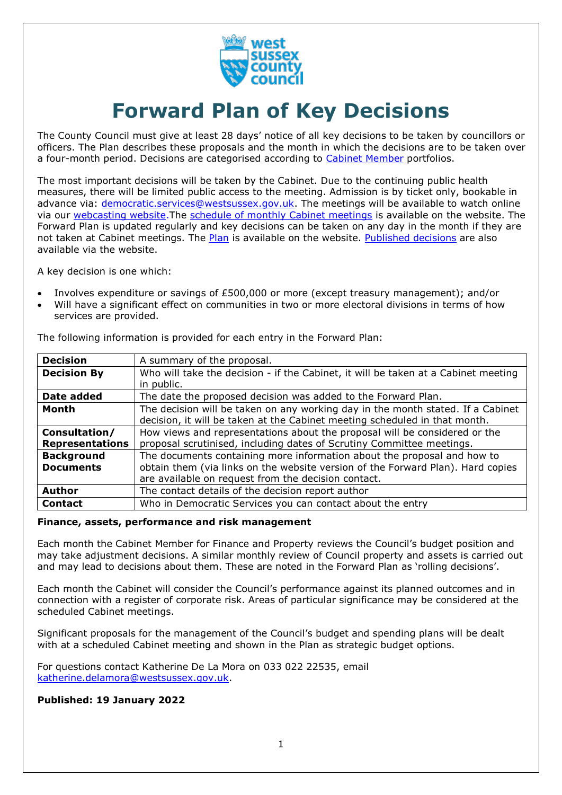

# **Forward Plan of Key Decisions**

The County Council must give at least 28 days' notice of all key decisions to be taken by councillors or officers. The Plan describes these proposals and the month in which the decisions are to be taken over a four-month period. Decisions are categorised according to [Cabinet Member](https://westsussex.moderngov.co.uk/mgCommitteeDetails.aspx?ID=134) portfolios.

The most important decisions will be taken by the Cabinet. Due to the continuing public health measures, there will be limited public access to the meeting. Admission is by ticket only, bookable in advance via: [democratic.services@westsussex.gov.uk.](mailto:democratic.services@westsussex.gov.uk) The meetings will be available to watch online via our [webcasting website.](https://www.westsussex.gov.uk/about-the-council/how-the-council-works/committees-and-decision-making/watch-county-council-and-committee-meetings-online/) The [schedule of monthly Cabinet meetings](https://westsussex.moderngov.co.uk/ieListMeetings.aspx?CommitteeId=134) is available on the website. The Forward Plan is updated regularly and key decisions can be taken on any day in the month if they are not taken at Cabinet meetings. The [Plan](https://westsussex.moderngov.co.uk/mgListPlans.aspx?RPId=413&RD=0&bcr=1) is available on the website. [Published decisions](https://westsussex.moderngov.co.uk/mgDelegatedDecisions.aspx?bcr=1&DM=0&DS=2&K=0&DR=&V=0) are also available via the website.

A key decision is one which:

- Involves expenditure or savings of £500,000 or more (except treasury management); and/or
- Will have a significant effect on communities in two or more electoral divisions in terms of how services are provided.

| <b>Decision</b>        | A summary of the proposal.                                                         |  |
|------------------------|------------------------------------------------------------------------------------|--|
| <b>Decision By</b>     | Who will take the decision - if the Cabinet, it will be taken at a Cabinet meeting |  |
|                        | in public.                                                                         |  |
| Date added             | The date the proposed decision was added to the Forward Plan.                      |  |
| Month                  | The decision will be taken on any working day in the month stated. If a Cabinet    |  |
|                        | decision, it will be taken at the Cabinet meeting scheduled in that month.         |  |
| Consultation/          | How views and representations about the proposal will be considered or the         |  |
| <b>Representations</b> | proposal scrutinised, including dates of Scrutiny Committee meetings.              |  |
| <b>Background</b>      | The documents containing more information about the proposal and how to            |  |
| <b>Documents</b>       | obtain them (via links on the website version of the Forward Plan). Hard copies    |  |
|                        | are available on request from the decision contact.                                |  |
| <b>Author</b>          | The contact details of the decision report author                                  |  |
| <b>Contact</b>         | Who in Democratic Services you can contact about the entry                         |  |

The following information is provided for each entry in the Forward Plan:

#### **Finance, assets, performance and risk management**

Each month the Cabinet Member for Finance and Property reviews the Council's budget position and may take adjustment decisions. A similar monthly review of Council property and assets is carried out and may lead to decisions about them. These are noted in the Forward Plan as 'rolling decisions'.

Each month the Cabinet will consider the Council's performance against its planned outcomes and in connection with a register of corporate risk. Areas of particular significance may be considered at the scheduled Cabinet meetings.

Significant proposals for the management of the Council's budget and spending plans will be dealt with at a scheduled Cabinet meeting and shown in the Plan as strategic budget options.

For questions contact Katherine De La Mora on 033 022 22535, email [katherine.delamora@westsussex.gov.uk.](mailto:katherine.delamora@westsussex.gov.uk)

## **Published: 19 January 2022**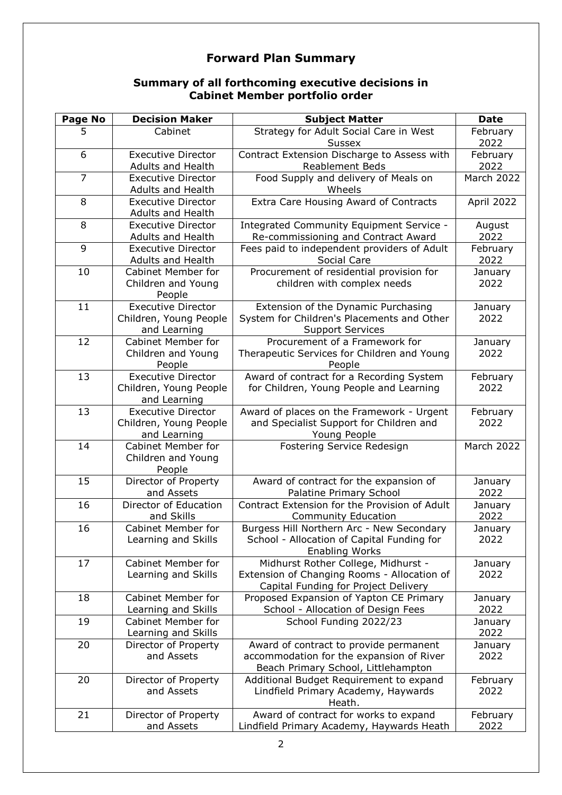# **Forward Plan Summary**

# **Summary of all forthcoming executive decisions in Cabinet Member portfolio order**

| <b>Page No</b> | <b>Decision Maker</b>                                               | <b>Subject Matter</b>                                                                                                      | <b>Date</b>      |
|----------------|---------------------------------------------------------------------|----------------------------------------------------------------------------------------------------------------------------|------------------|
| 5              | Cabinet                                                             | Strategy for Adult Social Care in West<br><b>Sussex</b>                                                                    | February<br>2022 |
| 6              | <b>Executive Director</b><br>Adults and Health                      | Contract Extension Discharge to Assess with<br><b>Reablement Beds</b>                                                      | February<br>2022 |
| $\overline{7}$ | <b>Executive Director</b><br>Adults and Health                      | Food Supply and delivery of Meals on<br>Wheels                                                                             | March 2022       |
| 8              | <b>Executive Director</b><br>Adults and Health                      | Extra Care Housing Award of Contracts                                                                                      | April 2022       |
| 8              | <b>Executive Director</b><br><b>Adults and Health</b>               | Integrated Community Equipment Service -<br>Re-commissioning and Contract Award                                            | August<br>2022   |
| 9              | <b>Executive Director</b><br>Adults and Health                      | Fees paid to independent providers of Adult<br>Social Care                                                                 | February<br>2022 |
| 10             | <b>Cabinet Member for</b><br>Children and Young<br>People           | Procurement of residential provision for<br>children with complex needs                                                    | January<br>2022  |
| 11             | <b>Executive Director</b><br>Children, Young People<br>and Learning | Extension of the Dynamic Purchasing<br>System for Children's Placements and Other<br><b>Support Services</b>               | January<br>2022  |
| 12             | <b>Cabinet Member for</b><br>Children and Young<br>People           | Procurement of a Framework for<br>Therapeutic Services for Children and Young<br>People                                    | January<br>2022  |
| 13             | <b>Executive Director</b><br>Children, Young People<br>and Learning | Award of contract for a Recording System<br>for Children, Young People and Learning                                        | February<br>2022 |
| 13             | <b>Executive Director</b><br>Children, Young People<br>and Learning | Award of places on the Framework - Urgent<br>and Specialist Support for Children and<br>Young People                       | February<br>2022 |
| 14             | Cabinet Member for<br>Children and Young<br>People                  | Fostering Service Redesign                                                                                                 | March 2022       |
| 15             | Director of Property<br>and Assets                                  | Award of contract for the expansion of<br>Palatine Primary School                                                          | January<br>2022  |
| 16             | Director of Education<br>and Skills                                 | Contract Extension for the Provision of Adult<br><b>Community Education</b>                                                | January<br>2022  |
| 16             | Cabinet Member for<br>Learning and Skills                           | Burgess Hill Northern Arc - New Secondary<br>School - Allocation of Capital Funding for<br><b>Enabling Works</b>           | January<br>2022  |
| 17             | <b>Cabinet Member for</b><br>Learning and Skills                    | Midhurst Rother College, Midhurst -<br>Extension of Changing Rooms - Allocation of<br>Capital Funding for Project Delivery | January<br>2022  |
| 18             | <b>Cabinet Member for</b><br>Learning and Skills                    | Proposed Expansion of Yapton CE Primary<br>School - Allocation of Design Fees                                              | January<br>2022  |
| 19             | <b>Cabinet Member for</b><br>Learning and Skills                    | School Funding 2022/23                                                                                                     | January<br>2022  |
| 20             | Director of Property<br>and Assets                                  | Award of contract to provide permanent<br>accommodation for the expansion of River<br>Beach Primary School, Littlehampton  | January<br>2022  |
| 20             | Director of Property<br>and Assets                                  | Additional Budget Requirement to expand<br>Lindfield Primary Academy, Haywards<br>Heath.                                   | February<br>2022 |
| 21             | Director of Property<br>and Assets                                  | Award of contract for works to expand<br>Lindfield Primary Academy, Haywards Heath                                         | February<br>2022 |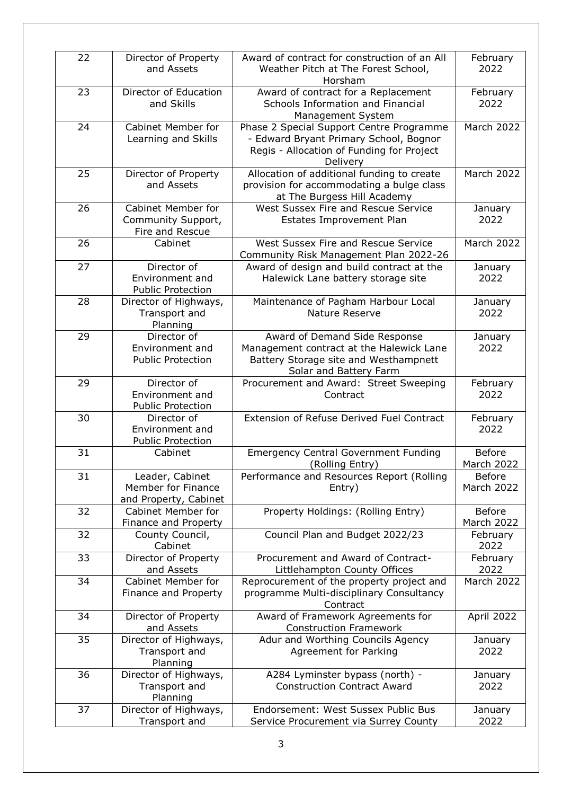| 22 | Director of Property<br>and Assets                                 | Award of contract for construction of an All<br>Weather Pitch at The Forest School,<br>Horsham                                               | February<br>2022            |
|----|--------------------------------------------------------------------|----------------------------------------------------------------------------------------------------------------------------------------------|-----------------------------|
| 23 | Director of Education<br>and Skills                                | Award of contract for a Replacement<br>Schools Information and Financial<br>Management System                                                | February<br>2022            |
| 24 | <b>Cabinet Member for</b><br>Learning and Skills                   | Phase 2 Special Support Centre Programme<br>- Edward Bryant Primary School, Bognor<br>Regis - Allocation of Funding for Project<br>Delivery  | March 2022                  |
| 25 | Director of Property<br>and Assets                                 | Allocation of additional funding to create<br>provision for accommodating a bulge class<br>at The Burgess Hill Academy                       | March 2022                  |
| 26 | <b>Cabinet Member for</b><br>Community Support,<br>Fire and Rescue | West Sussex Fire and Rescue Service<br>Estates Improvement Plan                                                                              | January<br>2022             |
| 26 | Cabinet                                                            | West Sussex Fire and Rescue Service<br>Community Risk Management Plan 2022-26                                                                | March 2022                  |
| 27 | Director of<br>Environment and<br><b>Public Protection</b>         | Award of design and build contract at the<br>Halewick Lane battery storage site                                                              | January<br>2022             |
| 28 | Director of Highways,<br>Transport and<br>Planning                 | Maintenance of Pagham Harbour Local<br>Nature Reserve                                                                                        | January<br>2022             |
| 29 | Director of<br>Environment and<br><b>Public Protection</b>         | Award of Demand Side Response<br>Management contract at the Halewick Lane<br>Battery Storage site and Westhampnett<br>Solar and Battery Farm | January<br>2022             |
| 29 | Director of<br>Environment and<br><b>Public Protection</b>         | Procurement and Award: Street Sweeping<br>Contract                                                                                           | February<br>2022            |
| 30 | Director of<br>Environment and<br><b>Public Protection</b>         | <b>Extension of Refuse Derived Fuel Contract</b>                                                                                             | February<br>2022            |
| 31 | Cabinet                                                            | <b>Emergency Central Government Funding</b><br>(Rolling Entry)                                                                               | <b>Before</b><br>March 2022 |
| 31 | Leader, Cabinet<br>Member for Finance<br>and Property, Cabinet     | Performance and Resources Report (Rolling<br>Entry)                                                                                          | <b>Before</b><br>March 2022 |
| 32 | <b>Cabinet Member for</b><br>Finance and Property                  | Property Holdings: (Rolling Entry)                                                                                                           | <b>Before</b><br>March 2022 |
| 32 | County Council,<br>Cabinet                                         | Council Plan and Budget 2022/23                                                                                                              | February<br>2022            |
| 33 | Director of Property<br>and Assets                                 | Procurement and Award of Contract-<br>Littlehampton County Offices                                                                           | February<br>2022            |
| 34 | <b>Cabinet Member for</b><br>Finance and Property                  | Reprocurement of the property project and<br>programme Multi-disciplinary Consultancy<br>Contract                                            | March 2022                  |
| 34 | Director of Property<br>and Assets                                 | Award of Framework Agreements for<br><b>Construction Framework</b>                                                                           | April 2022                  |
| 35 | Director of Highways,<br>Transport and<br>Planning                 | Adur and Worthing Councils Agency<br>Agreement for Parking                                                                                   | January<br>2022             |
| 36 | Director of Highways,<br>Transport and<br>Planning                 | A284 Lyminster bypass (north) -<br><b>Construction Contract Award</b>                                                                        | January<br>2022             |
| 37 | Director of Highways,<br>Transport and                             | Endorsement: West Sussex Public Bus<br>Service Procurement via Surrey County                                                                 | January<br>2022             |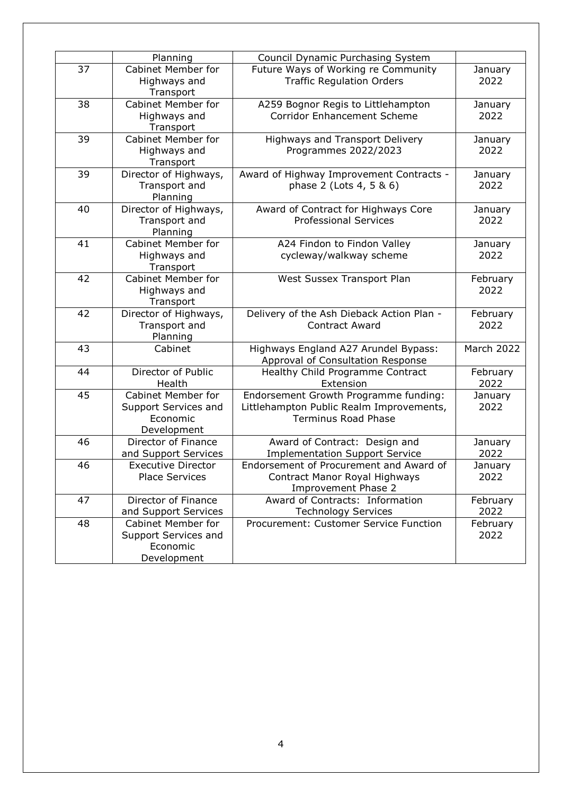|    | Planning                  | Council Dynamic Purchasing System         |                 |
|----|---------------------------|-------------------------------------------|-----------------|
| 37 | <b>Cabinet Member for</b> | Future Ways of Working re Community       | January         |
|    | Highways and              | <b>Traffic Regulation Orders</b>          | 2022            |
|    | Transport                 |                                           |                 |
| 38 | <b>Cabinet Member for</b> | A259 Bognor Regis to Littlehampton        | January         |
|    | Highways and              | <b>Corridor Enhancement Scheme</b>        | 2022            |
|    | Transport                 |                                           |                 |
| 39 | Cabinet Member for        | Highways and Transport Delivery           | January         |
|    | Highways and              | Programmes 2022/2023                      | 2022            |
|    | Transport                 |                                           |                 |
| 39 | Director of Highways,     | Award of Highway Improvement Contracts -  | January         |
|    | Transport and             | phase 2 (Lots 4, 5 & 6)                   | 2022            |
|    | Planning                  |                                           |                 |
| 40 | Director of Highways,     | Award of Contract for Highways Core       | January         |
|    | Transport and             | <b>Professional Services</b>              | 2022            |
|    | Planning                  |                                           |                 |
| 41 | <b>Cabinet Member for</b> | A24 Findon to Findon Valley               | January         |
|    | Highways and              | cycleway/walkway scheme                   | 2022            |
|    | Transport                 |                                           |                 |
| 42 | <b>Cabinet Member for</b> | West Sussex Transport Plan                | February        |
|    | Highways and              |                                           | 2022            |
|    | Transport                 |                                           |                 |
| 42 | Director of Highways,     | Delivery of the Ash Dieback Action Plan - | February        |
|    | Transport and             | <b>Contract Award</b>                     | 2022            |
|    | Planning                  |                                           |                 |
| 43 | Cabinet                   | Highways England A27 Arundel Bypass:      | March 2022      |
|    |                           | Approval of Consultation Response         |                 |
| 44 | Director of Public        | Healthy Child Programme Contract          | February        |
|    | Health                    | Extension                                 | 2022            |
| 45 | Cabinet Member for        | Endorsement Growth Programme funding:     | January         |
|    | Support Services and      | Littlehampton Public Realm Improvements,  | 2022            |
|    | Economic<br>Development   | <b>Terminus Road Phase</b>                |                 |
| 46 | Director of Finance       | Award of Contract: Design and             |                 |
|    | and Support Services      | <b>Implementation Support Service</b>     | January<br>2022 |
| 46 | <b>Executive Director</b> | Endorsement of Procurement and Award of   |                 |
|    | <b>Place Services</b>     | Contract Manor Royal Highways             | January<br>2022 |
|    |                           | Improvement Phase 2                       |                 |
| 47 | Director of Finance       | Award of Contracts: Information           | February        |
|    | and Support Services      | <b>Technology Services</b>                | 2022            |
| 48 | Cabinet Member for        | Procurement: Customer Service Function    | February        |
|    | Support Services and      |                                           | 2022            |
|    | Economic                  |                                           |                 |
|    | Development               |                                           |                 |
|    |                           |                                           |                 |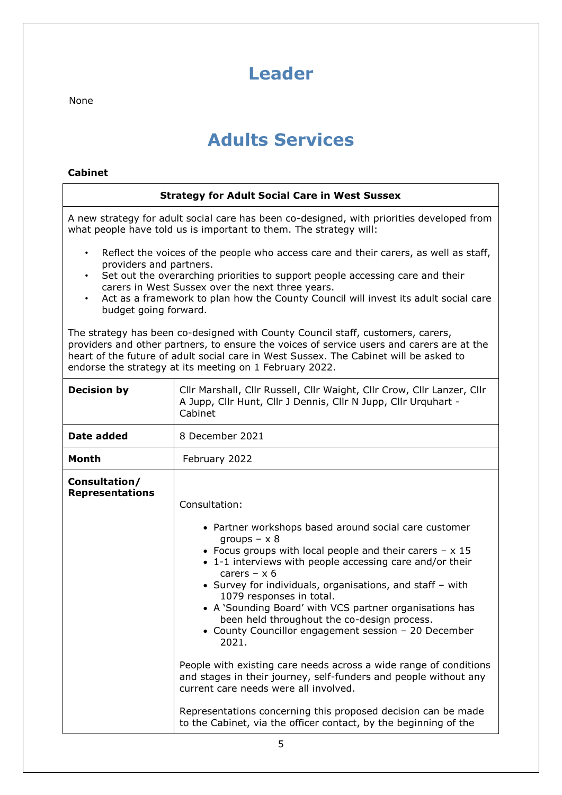# <span id="page-4-0"></span>**Leader**

None

# **Adults Services**

# **Cabinet**

| <b>Strategy for Adult Social Care in West Sussex</b>                                                                                                                                                                                                                                                                                                                                                                                                                                                                                                                           |                                                                                                                                                                                                                                                                                                                                                                                                                                                                                                                                                                                                                                                                                                                                                           |  |
|--------------------------------------------------------------------------------------------------------------------------------------------------------------------------------------------------------------------------------------------------------------------------------------------------------------------------------------------------------------------------------------------------------------------------------------------------------------------------------------------------------------------------------------------------------------------------------|-----------------------------------------------------------------------------------------------------------------------------------------------------------------------------------------------------------------------------------------------------------------------------------------------------------------------------------------------------------------------------------------------------------------------------------------------------------------------------------------------------------------------------------------------------------------------------------------------------------------------------------------------------------------------------------------------------------------------------------------------------------|--|
| A new strategy for adult social care has been co-designed, with priorities developed from<br>what people have told us is important to them. The strategy will:                                                                                                                                                                                                                                                                                                                                                                                                                 |                                                                                                                                                                                                                                                                                                                                                                                                                                                                                                                                                                                                                                                                                                                                                           |  |
| Reflect the voices of the people who access care and their carers, as well as staff,<br>$\bullet$<br>providers and partners.<br>Set out the overarching priorities to support people accessing care and their<br>$\bullet$<br>carers in West Sussex over the next three years.<br>Act as a framework to plan how the County Council will invest its adult social care<br>budget going forward.<br>The strategy has been co-designed with County Council staff, customers, carers,<br>providers and other partners, to ensure the voices of service users and carers are at the |                                                                                                                                                                                                                                                                                                                                                                                                                                                                                                                                                                                                                                                                                                                                                           |  |
|                                                                                                                                                                                                                                                                                                                                                                                                                                                                                                                                                                                | heart of the future of adult social care in West Sussex. The Cabinet will be asked to<br>endorse the strategy at its meeting on 1 February 2022.                                                                                                                                                                                                                                                                                                                                                                                                                                                                                                                                                                                                          |  |
| <b>Decision by</b>                                                                                                                                                                                                                                                                                                                                                                                                                                                                                                                                                             | Cllr Marshall, Cllr Russell, Cllr Waight, Cllr Crow, Cllr Lanzer, Cllr<br>A Jupp, Cllr Hunt, Cllr J Dennis, Cllr N Jupp, Cllr Urquhart -<br>Cabinet                                                                                                                                                                                                                                                                                                                                                                                                                                                                                                                                                                                                       |  |
| Date added                                                                                                                                                                                                                                                                                                                                                                                                                                                                                                                                                                     | 8 December 2021                                                                                                                                                                                                                                                                                                                                                                                                                                                                                                                                                                                                                                                                                                                                           |  |
| Month                                                                                                                                                                                                                                                                                                                                                                                                                                                                                                                                                                          | February 2022                                                                                                                                                                                                                                                                                                                                                                                                                                                                                                                                                                                                                                                                                                                                             |  |
| Consultation/<br><b>Representations</b>                                                                                                                                                                                                                                                                                                                                                                                                                                                                                                                                        | Consultation:<br>• Partner workshops based around social care customer<br>groups $- x 8$<br>• Focus groups with local people and their carers $- x 15$<br>• 1-1 interviews with people accessing care and/or their<br>carers $- x 6$<br>• Survey for individuals, organisations, and staff - with<br>1079 responses in total.<br>A 'Sounding Board' with VCS partner organisations has<br>been held throughout the co-design process.<br>• County Councillor engagement session - 20 December<br>2021.<br>People with existing care needs across a wide range of conditions<br>and stages in their journey, self-funders and people without any<br>current care needs were all involved.<br>Representations concerning this proposed decision can be made |  |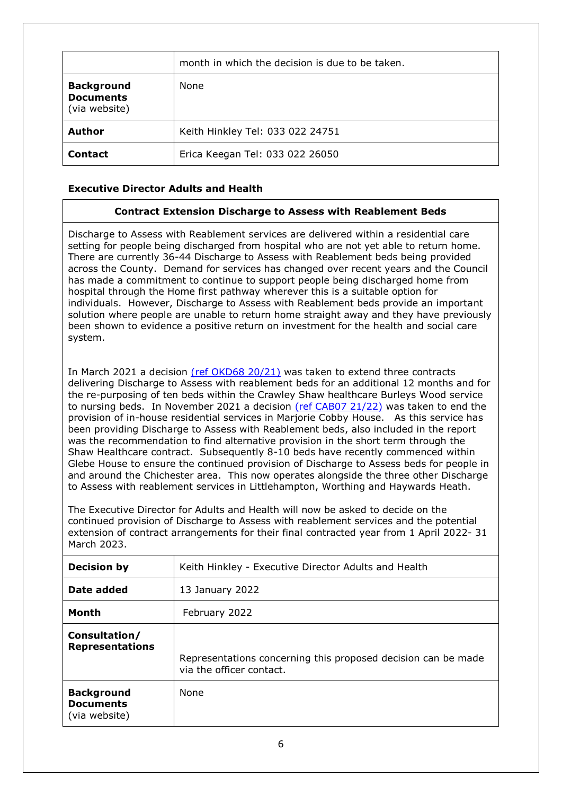|                                                        | month in which the decision is due to be taken. |
|--------------------------------------------------------|-------------------------------------------------|
| <b>Background</b><br><b>Documents</b><br>(via website) | None                                            |
| <b>Author</b>                                          | Keith Hinkley Tel: 033 022 24751                |
| <b>Contact</b>                                         | Erica Keegan Tel: 033 022 26050                 |

## **Executive Director Adults and Health**

#### <span id="page-5-0"></span>**Contract Extension Discharge to Assess with Reablement Beds**

Discharge to Assess with Reablement services are delivered within a residential care setting for people being discharged from hospital who are not yet able to return home. There are currently 36-44 Discharge to Assess with Reablement beds being provided across the County. Demand for services has changed over recent years and the Council has made a commitment to continue to support people being discharged home from hospital through the Home first pathway wherever this is a suitable option for individuals. However, Discharge to Assess with Reablement beds provide an important solution where people are unable to return home straight away and they have previously been shown to evidence a positive return on investment for the health and social care system.

In March 2021 a decision [\(ref OKD68 20/21\)](https://westsussex.moderngov.co.uk/ieDecisionDetails.aspx?ID=1217) was taken to extend three contracts delivering Discharge to Assess with reablement beds for an additional 12 months and for the re-purposing of ten beds within the Crawley Shaw healthcare Burleys Wood service to nursing beds. In November 2021 a decision [\(ref CAB07 21/22\)](https://westsussex.moderngov.co.uk/ieDecisionDetails.aspx?ID=1396) was taken to end the provision of in-house residential services in Marjorie Cobby House. As this service has been providing Discharge to Assess with Reablement beds, also included in the report was the recommendation to find alternative provision in the short term through the Shaw Healthcare contract. Subsequently 8-10 beds have recently commenced within Glebe House to ensure the continued provision of Discharge to Assess beds for people in and around the Chichester area. This now operates alongside the three other Discharge to Assess with reablement services in Littlehampton, Worthing and Haywards Heath.

The Executive Director for Adults and Health will now be asked to decide on the continued provision of Discharge to Assess with reablement services and the potential extension of contract arrangements for their final contracted year from 1 April 2022- 31 March 2023.

| <b>Decision by</b>                                     | Keith Hinkley - Executive Director Adults and Health                                      |
|--------------------------------------------------------|-------------------------------------------------------------------------------------------|
| Date added                                             | 13 January 2022                                                                           |
| <b>Month</b>                                           | February 2022                                                                             |
| Consultation/<br><b>Representations</b>                | Representations concerning this proposed decision can be made<br>via the officer contact. |
| <b>Background</b><br><b>Documents</b><br>(via website) | <b>None</b>                                                                               |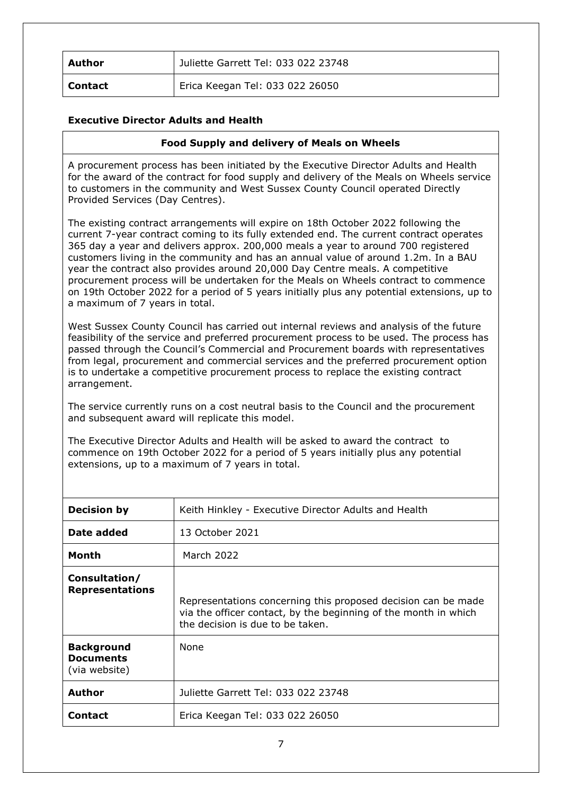| Author  | Juliette Garrett Tel: 033 022 23748 |
|---------|-------------------------------------|
| Contact | Erica Keegan Tel: 033 022 26050     |

## **Executive Director Adults and Health**

#### <span id="page-6-0"></span>**Food Supply and delivery of Meals on Wheels**

A procurement process has been initiated by the Executive Director Adults and Health for the award of the contract for food supply and delivery of the Meals on Wheels service to customers in the community and West Sussex County Council operated Directly Provided Services (Day Centres).

The existing contract arrangements will expire on 18th October 2022 following the current 7-year contract coming to its fully extended end. The current contract operates 365 day a year and delivers approx. 200,000 meals a year to around 700 registered customers living in the community and has an annual value of around 1.2m. In a BAU year the contract also provides around 20,000 Day Centre meals. A competitive procurement process will be undertaken for the Meals on Wheels contract to commence on 19th October 2022 for a period of 5 years initially plus any potential extensions, up to a maximum of 7 years in total.

West Sussex County Council has carried out internal reviews and analysis of the future feasibility of the service and preferred procurement process to be used. The process has passed through the Council's Commercial and Procurement boards with representatives from legal, procurement and commercial services and the preferred procurement option is to undertake a competitive procurement process to replace the existing contract arrangement.

The service currently runs on a cost neutral basis to the Council and the procurement and subsequent award will replicate this model.

The Executive Director Adults and Health will be asked to award the contract to commence on 19th October 2022 for a period of 5 years initially plus any potential extensions, up to a maximum of 7 years in total.

| <b>Decision by</b>                                     | Keith Hinkley - Executive Director Adults and Health                                                                                                                 |  |
|--------------------------------------------------------|----------------------------------------------------------------------------------------------------------------------------------------------------------------------|--|
| Date added                                             | 13 October 2021                                                                                                                                                      |  |
| Month                                                  | March 2022                                                                                                                                                           |  |
| Consultation/<br><b>Representations</b>                | Representations concerning this proposed decision can be made<br>via the officer contact, by the beginning of the month in which<br>the decision is due to be taken. |  |
| <b>Background</b><br><b>Documents</b><br>(via website) | None                                                                                                                                                                 |  |
| <b>Author</b>                                          | Juliette Garrett Tel: 033 022 23748                                                                                                                                  |  |
| <b>Contact</b>                                         | Erica Keegan Tel: 033 022 26050                                                                                                                                      |  |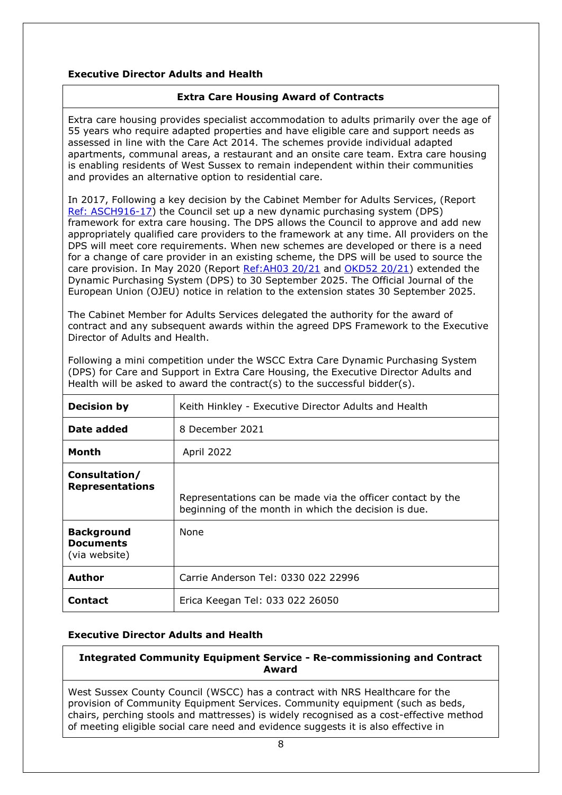# **Executive Director Adults and Health**

## <span id="page-7-0"></span>**Extra Care Housing Award of Contracts**

Extra care housing provides specialist accommodation to adults primarily over the age of 55 years who require adapted properties and have eligible care and support needs as assessed in line with the Care Act 2014. The schemes provide individual adapted apartments, communal areas, a restaurant and an onsite care team. Extra care housing is enabling residents of West Sussex to remain independent within their communities and provides an alternative option to residential care.

In 2017, Following a key decision by the Cabinet Member for Adults Services, (Report [Ref: ASCH916-17\)](http://www2.westsussex.gov.uk/ds/edd/asch/asch09_16-17.pdf) the Council set up a new dynamic purchasing system (DPS) framework for extra care housing. The DPS allows the Council to approve and add new appropriately qualified care providers to the framework at any time. All providers on the DPS will meet core requirements. When new schemes are developed or there is a need for a change of care provider in an existing scheme, the DPS will be used to source the care provision. In May 2020 (Report [Ref:AH03 20/21](https://westsussex.moderngov.co.uk/ieDecisionDetails.aspx?ID=896) and [OKD52 20/21\)](https://westsussex.moderngov.co.uk/ieDecisionDetails.aspx?ID=1163) extended the Dynamic Purchasing System (DPS) to 30 September 2025. The Official Journal of the European Union (OJEU) notice in relation to the extension states 30 September 2025.

The Cabinet Member for Adults Services delegated the authority for the award of contract and any subsequent awards within the agreed DPS Framework to the Executive Director of Adults and Health.

| <b>Decision by</b>                                     | Keith Hinkley - Executive Director Adults and Health                                                               |
|--------------------------------------------------------|--------------------------------------------------------------------------------------------------------------------|
| Date added                                             | 8 December 2021                                                                                                    |
| Month                                                  | April 2022                                                                                                         |
| Consultation/<br><b>Representations</b>                | Representations can be made via the officer contact by the<br>beginning of the month in which the decision is due. |
| <b>Background</b><br><b>Documents</b><br>(via website) | <b>None</b>                                                                                                        |
| <b>Author</b>                                          | Carrie Anderson Tel: 0330 022 22996                                                                                |
| <b>Contact</b>                                         | Erica Keegan Tel: 033 022 26050                                                                                    |

Following a mini competition under the WSCC Extra Care Dynamic Purchasing System (DPS) for Care and Support in Extra Care Housing, the Executive Director Adults and Health will be asked to award the contract(s) to the successful bidder(s).

## **Executive Director Adults and Health**

## <span id="page-7-1"></span>**Integrated Community Equipment Service - Re-commissioning and Contract Award**

West Sussex County Council (WSCC) has a contract with NRS Healthcare for the provision of Community Equipment Services. Community equipment (such as beds, chairs, perching stools and mattresses) is widely recognised as a cost-effective method of meeting eligible social care need and evidence suggests it is also effective in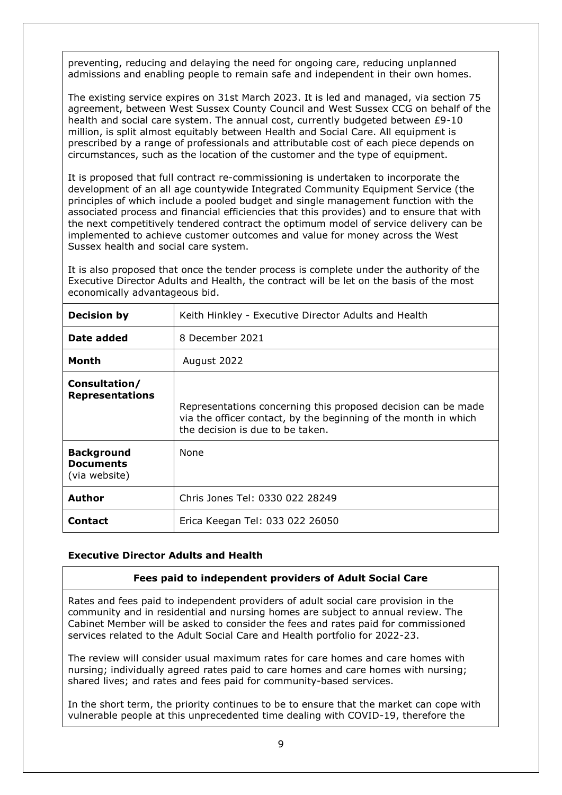preventing, reducing and delaying the need for ongoing care, reducing unplanned admissions and enabling people to remain safe and independent in their own homes.

The existing service expires on 31st March 2023. It is led and managed, via section 75 agreement, between West Sussex County Council and West Sussex CCG on behalf of the health and social care system. The annual cost, currently budgeted between £9-10 million, is split almost equitably between Health and Social Care. All equipment is prescribed by a range of professionals and attributable cost of each piece depends on circumstances, such as the location of the customer and the type of equipment.

It is proposed that full contract re-commissioning is undertaken to incorporate the development of an all age countywide Integrated Community Equipment Service (the principles of which include a pooled budget and single management function with the associated process and financial efficiencies that this provides) and to ensure that with the next competitively tendered contract the optimum model of service delivery can be implemented to achieve customer outcomes and value for money across the West Sussex health and social care system.

It is also proposed that once the tender process is complete under the authority of the Executive Director Adults and Health, the contract will be let on the basis of the most economically advantageous bid.

| <b>Decision by</b>                                     | Keith Hinkley - Executive Director Adults and Health                                                                                                                 |  |
|--------------------------------------------------------|----------------------------------------------------------------------------------------------------------------------------------------------------------------------|--|
| Date added                                             | 8 December 2021                                                                                                                                                      |  |
| Month                                                  | August 2022                                                                                                                                                          |  |
| Consultation/<br><b>Representations</b>                | Representations concerning this proposed decision can be made<br>via the officer contact, by the beginning of the month in which<br>the decision is due to be taken. |  |
| <b>Background</b><br><b>Documents</b><br>(via website) | <b>None</b>                                                                                                                                                          |  |
| <b>Author</b>                                          | Chris Jones Tel: 0330 022 28249                                                                                                                                      |  |
| <b>Contact</b>                                         | Erica Keegan Tel: 033 022 26050                                                                                                                                      |  |

## **Executive Director Adults and Health**

#### <span id="page-8-0"></span>**Fees paid to independent providers of Adult Social Care**

Rates and fees paid to independent providers of adult social care provision in the community and in residential and nursing homes are subject to annual review. The Cabinet Member will be asked to consider the fees and rates paid for commissioned services related to the Adult Social Care and Health portfolio for 2022-23.

The review will consider usual maximum rates for care homes and care homes with nursing; individually agreed rates paid to care homes and care homes with nursing; shared lives; and rates and fees paid for community-based services.

In the short term, the priority continues to be to ensure that the market can cope with vulnerable people at this unprecedented time dealing with COVID-19, therefore the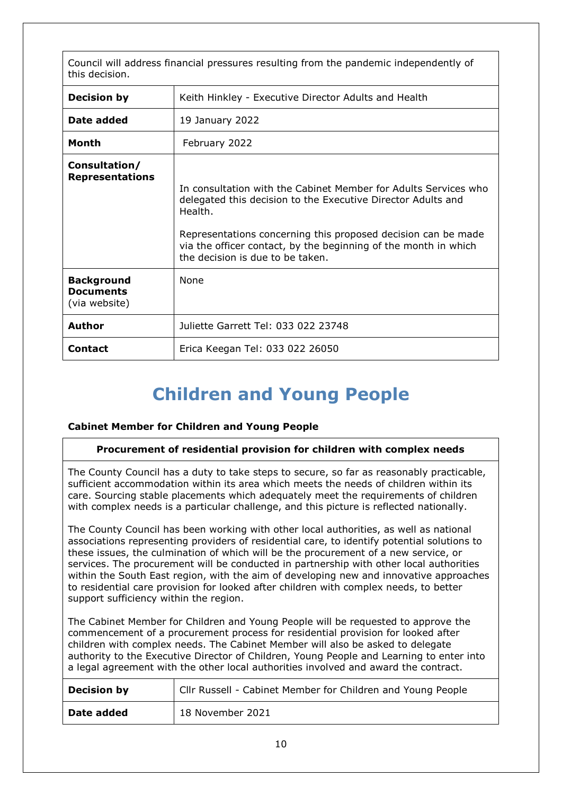Council will address financial pressures resulting from the pandemic independently of this decision.

| <b>Decision by</b>                                     | Keith Hinkley - Executive Director Adults and Health                                                                                                                                                                                                                                                               |
|--------------------------------------------------------|--------------------------------------------------------------------------------------------------------------------------------------------------------------------------------------------------------------------------------------------------------------------------------------------------------------------|
| Date added                                             | 19 January 2022                                                                                                                                                                                                                                                                                                    |
| Month                                                  | February 2022                                                                                                                                                                                                                                                                                                      |
| Consultation/<br><b>Representations</b>                | In consultation with the Cabinet Member for Adults Services who<br>delegated this decision to the Executive Director Adults and<br>Health.<br>Representations concerning this proposed decision can be made<br>via the officer contact, by the beginning of the month in which<br>the decision is due to be taken. |
| <b>Background</b><br><b>Documents</b><br>(via website) | <b>None</b>                                                                                                                                                                                                                                                                                                        |
| <b>Author</b>                                          | Juliette Garrett Tel: 033 022 23748                                                                                                                                                                                                                                                                                |
| <b>Contact</b>                                         | Erica Keegan Tel: 033 022 26050                                                                                                                                                                                                                                                                                    |

# <span id="page-9-0"></span>**Children and Young People**

## **Cabinet Member for Children and Young People**

## **Procurement of residential provision for children with complex needs**

The County Council has a duty to take steps to secure, so far as reasonably practicable, sufficient accommodation within its area which meets the needs of children within its care. Sourcing stable placements which adequately meet the requirements of children with complex needs is a particular challenge, and this picture is reflected nationally.

The County Council has been working with other local authorities, as well as national associations representing providers of residential care, to identify potential solutions to these issues, the culmination of which will be the procurement of a new service, or services. The procurement will be conducted in partnership with other local authorities within the South East region, with the aim of developing new and innovative approaches to residential care provision for looked after children with complex needs, to better support sufficiency within the region.

The Cabinet Member for Children and Young People will be requested to approve the commencement of a procurement process for residential provision for looked after children with complex needs. The Cabinet Member will also be asked to delegate authority to the Executive Director of Children, Young People and Learning to enter into a legal agreement with the other local authorities involved and award the contract.

| <b>Decision by</b> | Cllr Russell - Cabinet Member for Children and Young People |
|--------------------|-------------------------------------------------------------|
| Date added         | 18 November 2021                                            |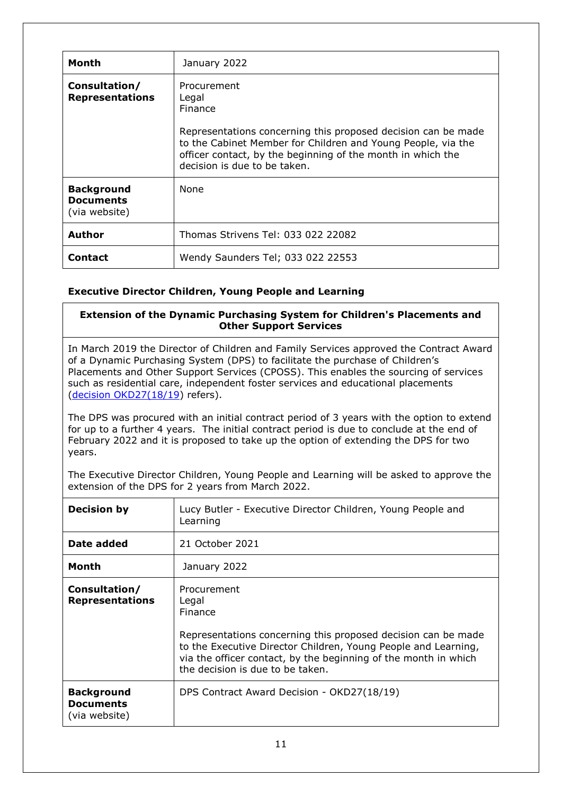| Month                                                  | January 2022                                                                                                                                                                                                                                                    |
|--------------------------------------------------------|-----------------------------------------------------------------------------------------------------------------------------------------------------------------------------------------------------------------------------------------------------------------|
| Consultation/<br><b>Representations</b>                | Procurement<br>Legal<br>Finance<br>Representations concerning this proposed decision can be made<br>to the Cabinet Member for Children and Young People, via the<br>officer contact, by the beginning of the month in which the<br>decision is due to be taken. |
| <b>Background</b><br><b>Documents</b><br>(via website) | <b>None</b>                                                                                                                                                                                                                                                     |
| <b>Author</b>                                          | Thomas Strivens Tel: 033 022 22082                                                                                                                                                                                                                              |
| <b>Contact</b>                                         | Wendy Saunders Tel; 033 022 22553                                                                                                                                                                                                                               |

# **Executive Director Children, Young People and Learning**

## <span id="page-10-0"></span>**Extension of the Dynamic Purchasing System for Children's Placements and Other Support Services**

In March 2019 the Director of Children and Family Services approved the Contract Award of a Dynamic Purchasing System (DPS) to facilitate the purchase of Children's Placements and Other Support Services (CPOSS). This enables the sourcing of services such as residential care, independent foster services and educational placements [\(decision OKD27\(18/19\)](http://www2.westsussex.gov.uk/ds/mis/200319okd27.pdf) refers).

The DPS was procured with an initial contract period of 3 years with the option to extend for up to a further 4 years. The initial contract period is due to conclude at the end of February 2022 and it is proposed to take up the option of extending the DPS for two years.

The Executive Director Children, Young People and Learning will be asked to approve the extension of the DPS for 2 years from March 2022.

| <b>Decision by</b>                                     | Lucy Butler - Executive Director Children, Young People and<br>Learning                                                                                                                                                                                                          |
|--------------------------------------------------------|----------------------------------------------------------------------------------------------------------------------------------------------------------------------------------------------------------------------------------------------------------------------------------|
| Date added                                             | 21 October 2021                                                                                                                                                                                                                                                                  |
| Month                                                  | January 2022                                                                                                                                                                                                                                                                     |
| Consultation/<br><b>Representations</b>                | Procurement<br>Legal<br><b>Finance</b><br>Representations concerning this proposed decision can be made<br>to the Executive Director Children, Young People and Learning,<br>via the officer contact, by the beginning of the month in which<br>the decision is due to be taken. |
| <b>Background</b><br><b>Documents</b><br>(via website) | DPS Contract Award Decision - OKD27(18/19)                                                                                                                                                                                                                                       |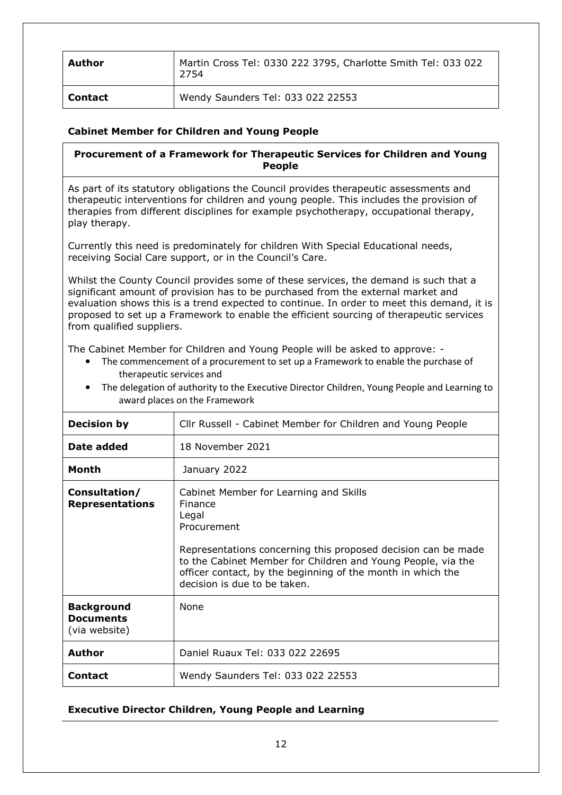| Author         | Martin Cross Tel: 0330 222 3795, Charlotte Smith Tel: 033 022<br>2754 |
|----------------|-----------------------------------------------------------------------|
| <b>Contact</b> | Wendy Saunders Tel: 033 022 22553                                     |

# **Cabinet Member for Children and Young People**

<span id="page-11-0"></span>**Procurement of a Framework for Therapeutic Services for Children and Young People**

As part of its statutory obligations the Council provides therapeutic assessments and therapeutic interventions for children and young people. This includes the provision of therapies from different disciplines for example psychotherapy, occupational therapy, play therapy.

Currently this need is predominately for children With Special Educational needs, receiving Social Care support, or in the Council's Care.

Whilst the County Council provides some of these services, the demand is such that a significant amount of provision has to be purchased from the external market and evaluation shows this is a trend expected to continue. In order to meet this demand, it is proposed to set up a Framework to enable the efficient sourcing of therapeutic services from qualified suppliers.

The Cabinet Member for Children and Young People will be asked to approve: -

- The commencement of a procurement to set up a Framework to enable the purchase of therapeutic services and
- The delegation of authority to the Executive Director Children, Young People and Learning to award places on the Framework

| <b>Decision by</b>                                     | Cllr Russell - Cabinet Member for Children and Young People                                                                                                                                                                                                                                               |
|--------------------------------------------------------|-----------------------------------------------------------------------------------------------------------------------------------------------------------------------------------------------------------------------------------------------------------------------------------------------------------|
| Date added                                             | 18 November 2021                                                                                                                                                                                                                                                                                          |
| Month                                                  | January 2022                                                                                                                                                                                                                                                                                              |
| Consultation/<br><b>Representations</b>                | Cabinet Member for Learning and Skills<br>Finance<br>Legal<br>Procurement<br>Representations concerning this proposed decision can be made<br>to the Cabinet Member for Children and Young People, via the<br>officer contact, by the beginning of the month in which the<br>decision is due to be taken. |
| <b>Background</b><br><b>Documents</b><br>(via website) | None                                                                                                                                                                                                                                                                                                      |
| Author                                                 | Daniel Ruaux Tel: 033 022 22695                                                                                                                                                                                                                                                                           |
| <b>Contact</b>                                         | Wendy Saunders Tel: 033 022 22553                                                                                                                                                                                                                                                                         |

## **Executive Director Children, Young People and Learning**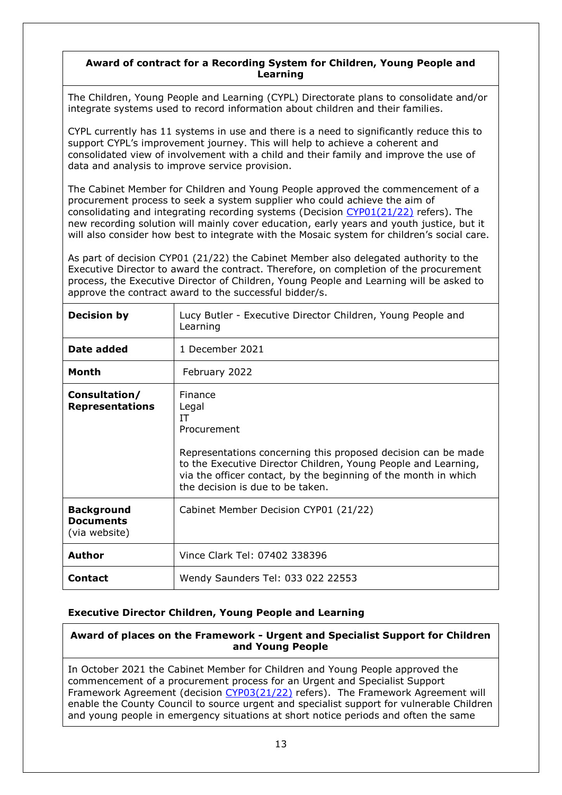## <span id="page-12-0"></span>**Award of contract for a Recording System for Children, Young People and Learning**

The Children, Young People and Learning (CYPL) Directorate plans to consolidate and/or integrate systems used to record information about children and their families.

CYPL currently has 11 systems in use and there is a need to significantly reduce this to support CYPL's improvement journey. This will help to achieve a coherent and consolidated view of involvement with a child and their family and improve the use of data and analysis to improve service provision.

The Cabinet Member for Children and Young People approved the commencement of a procurement process to seek a system supplier who could achieve the aim of consolidating and integrating recording systems (Decision  $CYP01(21/22)$  refers). The new recording solution will mainly cover education, early years and youth justice, but it will also consider how best to integrate with the Mosaic system for children's social care.

As part of decision CYP01 (21/22) the Cabinet Member also delegated authority to the Executive Director to award the contract. Therefore, on completion of the procurement process, the Executive Director of Children, Young People and Learning will be asked to approve the contract award to the successful bidder/s.

| <b>Decision by</b>                                     | Lucy Butler - Executive Director Children, Young People and<br>Learning                                                                                                                                                                                                         |
|--------------------------------------------------------|---------------------------------------------------------------------------------------------------------------------------------------------------------------------------------------------------------------------------------------------------------------------------------|
| Date added                                             | 1 December 2021                                                                                                                                                                                                                                                                 |
| Month                                                  | February 2022                                                                                                                                                                                                                                                                   |
| Consultation/<br><b>Representations</b>                | Finance<br>Legal<br>IΤ<br>Procurement<br>Representations concerning this proposed decision can be made<br>to the Executive Director Children, Young People and Learning,<br>via the officer contact, by the beginning of the month in which<br>the decision is due to be taken. |
| <b>Background</b><br><b>Documents</b><br>(via website) | Cabinet Member Decision CYP01 (21/22)                                                                                                                                                                                                                                           |
| <b>Author</b>                                          | Vince Clark Tel: 07402 338396                                                                                                                                                                                                                                                   |
| <b>Contact</b>                                         | Wendy Saunders Tel: 033 022 22553                                                                                                                                                                                                                                               |

## **Executive Director Children, Young People and Learning**

<span id="page-12-1"></span>**Award of places on the Framework - Urgent and Specialist Support for Children and Young People**

In October 2021 the Cabinet Member for Children and Young People approved the commencement of a procurement process for an Urgent and Specialist Support Framework Agreement (decision [CYP03\(21/22\)](https://westsussex.moderngov.co.uk/ieDecisionDetails.aspx?id=1388&LLL=0) refers). The Framework Agreement will enable the County Council to source urgent and specialist support for vulnerable Children and young people in emergency situations at short notice periods and often the same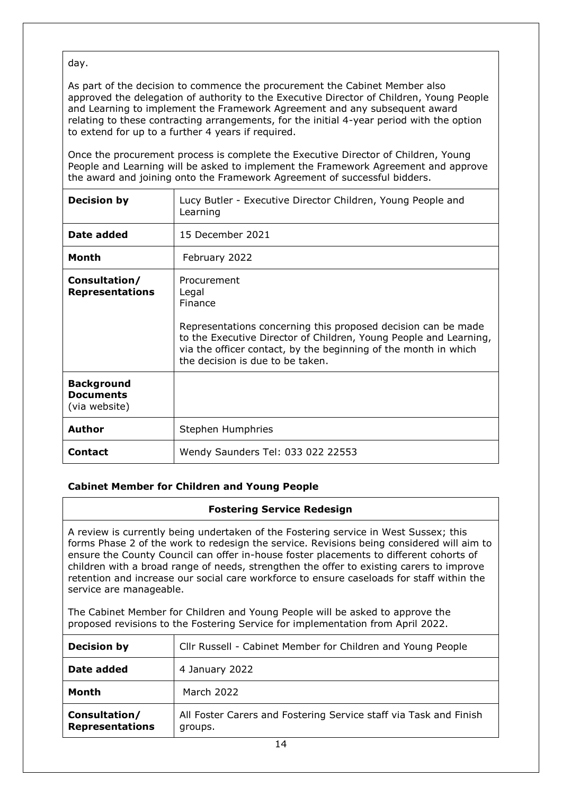day.

As part of the decision to commence the procurement the Cabinet Member also approved the delegation of authority to the Executive Director of Children, Young People and Learning to implement the Framework Agreement and any subsequent award relating to these contracting arrangements, for the initial 4-year period with the option to extend for up to a further 4 years if required.

Once the procurement process is complete the Executive Director of Children, Young People and Learning will be asked to implement the Framework Agreement and approve the award and joining onto the Framework Agreement of successful bidders.

| <b>Decision by</b>                                     | Lucy Butler - Executive Director Children, Young People and<br>Learning                                                                                                                                                                                                      |
|--------------------------------------------------------|------------------------------------------------------------------------------------------------------------------------------------------------------------------------------------------------------------------------------------------------------------------------------|
| Date added                                             | 15 December 2021                                                                                                                                                                                                                                                             |
| <b>Month</b>                                           | February 2022                                                                                                                                                                                                                                                                |
| Consultation/<br><b>Representations</b>                | Procurement<br>Legal<br>Finance<br>Representations concerning this proposed decision can be made<br>to the Executive Director of Children, Young People and Learning,<br>via the officer contact, by the beginning of the month in which<br>the decision is due to be taken. |
| <b>Background</b><br><b>Documents</b><br>(via website) |                                                                                                                                                                                                                                                                              |
| <b>Author</b>                                          | Stephen Humphries                                                                                                                                                                                                                                                            |
| <b>Contact</b>                                         | Wendy Saunders Tel: 033 022 22553                                                                                                                                                                                                                                            |

# **Cabinet Member for Children and Young People**

## <span id="page-13-0"></span>**Fostering Service Redesign**

A review is currently being undertaken of the Fostering service in West Sussex; this forms Phase 2 of the work to redesign the service. Revisions being considered will aim to ensure the County Council can offer in-house foster placements to different cohorts of children with a broad range of needs, strengthen the offer to existing carers to improve retention and increase our social care workforce to ensure caseloads for staff within the service are manageable.

The Cabinet Member for Children and Young People will be asked to approve the proposed revisions to the Fostering Service for implementation from April 2022.

| <b>Decision by</b>                      | Cllr Russell - Cabinet Member for Children and Young People                  |
|-----------------------------------------|------------------------------------------------------------------------------|
| Date added                              | 4 January 2022                                                               |
| Month                                   | March 2022                                                                   |
| Consultation/<br><b>Representations</b> | All Foster Carers and Fostering Service staff via Task and Finish<br>groups. |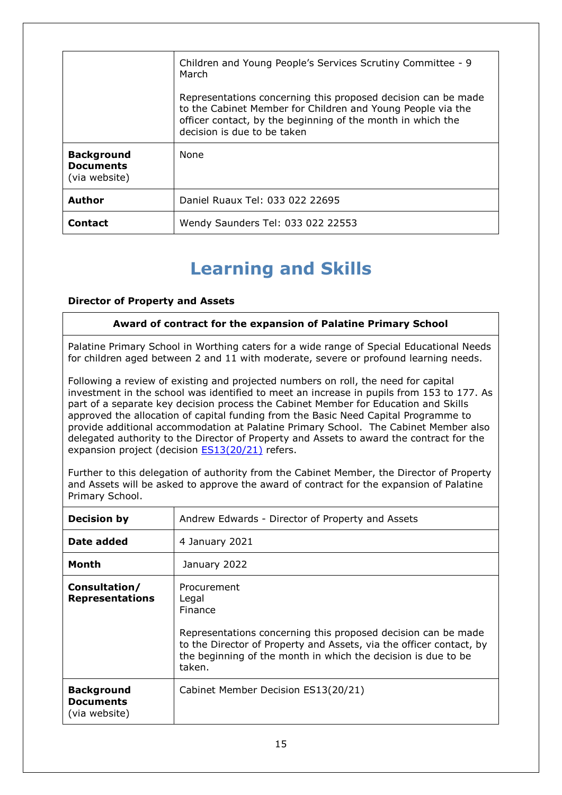|                                                        | Children and Young People's Services Scrutiny Committee - 9<br>March<br>Representations concerning this proposed decision can be made<br>to the Cabinet Member for Children and Young People via the<br>officer contact, by the beginning of the month in which the<br>decision is due to be taken |
|--------------------------------------------------------|----------------------------------------------------------------------------------------------------------------------------------------------------------------------------------------------------------------------------------------------------------------------------------------------------|
| <b>Background</b><br><b>Documents</b><br>(via website) | <b>None</b>                                                                                                                                                                                                                                                                                        |
| <b>Author</b>                                          | Daniel Ruaux Tel: 033 022 22695                                                                                                                                                                                                                                                                    |
| Contact                                                | Wendy Saunders Tel: 033 022 22553                                                                                                                                                                                                                                                                  |

# <span id="page-14-0"></span>**Learning and Skills**

# **Director of Property and Assets**

#### **Award of contract for the expansion of Palatine Primary School**

Palatine Primary School in Worthing caters for a wide range of Special Educational Needs for children aged between 2 and 11 with moderate, severe or profound learning needs.

Following a review of existing and projected numbers on roll, the need for capital investment in the school was identified to meet an increase in pupils from 153 to 177. As part of a separate key decision process the Cabinet Member for Education and Skills approved the allocation of capital funding from the Basic Need Capital Programme to provide additional accommodation at Palatine Primary School. The Cabinet Member also delegated authority to the Director of Property and Assets to award the contract for the expansion project (decision **ES13(20/21)** refers.

Further to this delegation of authority from the Cabinet Member, the Director of Property and Assets will be asked to approve the award of contract for the expansion of Palatine Primary School.

| <b>Decision by</b>                                     | Andrew Edwards - Director of Property and Assets                                                                                                                                                                                                          |
|--------------------------------------------------------|-----------------------------------------------------------------------------------------------------------------------------------------------------------------------------------------------------------------------------------------------------------|
| Date added                                             | 4 January 2021                                                                                                                                                                                                                                            |
| Month                                                  | January 2022                                                                                                                                                                                                                                              |
| Consultation/<br><b>Representations</b>                | Procurement<br>Legal<br><b>Finance</b><br>Representations concerning this proposed decision can be made<br>to the Director of Property and Assets, via the officer contact, by<br>the beginning of the month in which the decision is due to be<br>taken. |
| <b>Background</b><br><b>Documents</b><br>(via website) | Cabinet Member Decision ES13(20/21)                                                                                                                                                                                                                       |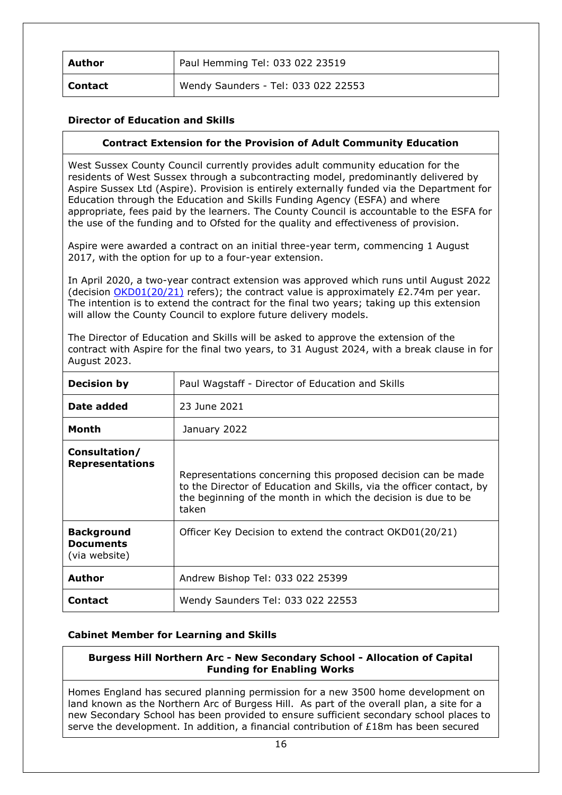| Author         | Paul Hemming Tel: 033 022 23519     |
|----------------|-------------------------------------|
| <b>Contact</b> | Wendy Saunders - Tel: 033 022 22553 |

## **Director of Education and Skills**

## <span id="page-15-0"></span>**Contract Extension for the Provision of Adult Community Education**

West Sussex County Council currently provides adult community education for the residents of West Sussex through a subcontracting model, predominantly delivered by Aspire Sussex Ltd (Aspire). Provision is entirely externally funded via the Department for Education through the Education and Skills Funding Agency (ESFA) and where appropriate, fees paid by the learners. The County Council is accountable to the ESFA for the use of the funding and to Ofsted for the quality and effectiveness of provision.

Aspire were awarded a contract on an initial three-year term, commencing 1 August 2017, with the option for up to a four-year extension.

In April 2020, a two-year contract extension was approved which runs until August 2022 (decision  $OKD01(20/21)$  refers); the contract value is approximately £2.74m per year. The intention is to extend the contract for the final two years; taking up this extension will allow the County Council to explore future delivery models.

The Director of Education and Skills will be asked to approve the extension of the contract with Aspire for the final two years, to 31 August 2024, with a break clause in for August 2023.

| <b>Decision by</b>                                     | Paul Wagstaff - Director of Education and Skills                                                                                                                                                                |
|--------------------------------------------------------|-----------------------------------------------------------------------------------------------------------------------------------------------------------------------------------------------------------------|
| Date added                                             | 23 June 2021                                                                                                                                                                                                    |
| Month                                                  | January 2022                                                                                                                                                                                                    |
| Consultation/<br><b>Representations</b>                | Representations concerning this proposed decision can be made<br>to the Director of Education and Skills, via the officer contact, by<br>the beginning of the month in which the decision is due to be<br>taken |
| <b>Background</b><br><b>Documents</b><br>(via website) | Officer Key Decision to extend the contract OKD01(20/21)                                                                                                                                                        |
| <b>Author</b>                                          | Andrew Bishop Tel: 033 022 25399                                                                                                                                                                                |
| Contact                                                | Wendy Saunders Tel: 033 022 22553                                                                                                                                                                               |

## **Cabinet Member for Learning and Skills**

## <span id="page-15-1"></span>**Burgess Hill Northern Arc - New Secondary School - Allocation of Capital Funding for Enabling Works**

Homes England has secured planning permission for a new 3500 home development on land known as the Northern Arc of Burgess Hill. As part of the overall plan, a site for a new Secondary School has been provided to ensure sufficient secondary school places to serve the development. In addition, a financial contribution of £18m has been secured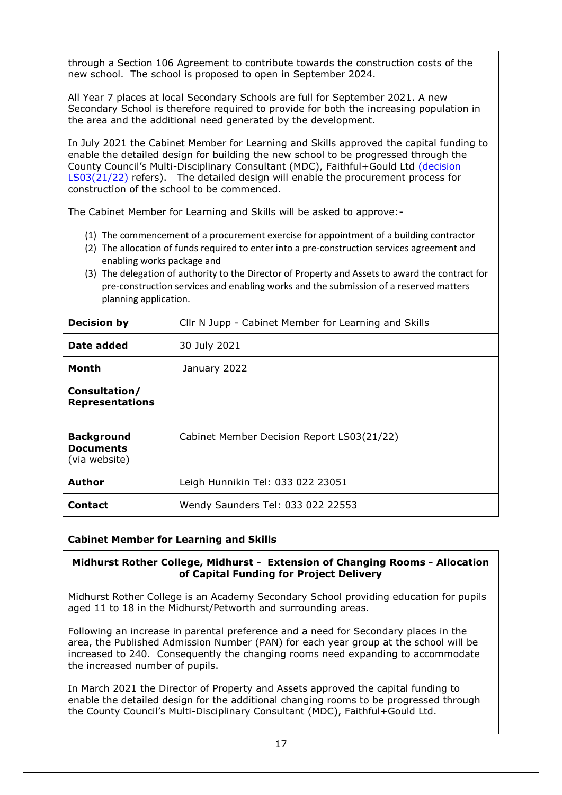through a Section 106 Agreement to contribute towards the construction costs of the new school. The school is proposed to open in September 2024.

All Year 7 places at local Secondary Schools are full for September 2021. A new Secondary School is therefore required to provide for both the increasing population in the area and the additional need generated by the development.

In July 2021 the Cabinet Member for Learning and Skills approved the capital funding to enable the detailed design for building the new school to be progressed through the County Council's Multi-Disciplinary Consultant (MDC), Faithful+Gould Ltd [\(decision](https://westsussex.moderngov.co.uk/ieDecisionDetails.aspx?ID=1302)  [LS03\(21/22\)](https://westsussex.moderngov.co.uk/ieDecisionDetails.aspx?ID=1302) refers). The detailed design will enable the procurement process for construction of the school to be commenced.

The Cabinet Member for Learning and Skills will be asked to approve:-

- (1) The commencement of a procurement exercise for appointment of a building contractor
- (2) The allocation of funds required to enter into a pre-construction services agreement and enabling works package and
- (3) The delegation of authority to the Director of Property and Assets to award the contract for pre-construction services and enabling works and the submission of a reserved matters planning application.

| <b>Decision by</b>                                     | Cllr N Jupp - Cabinet Member for Learning and Skills |
|--------------------------------------------------------|------------------------------------------------------|
| Date added                                             | 30 July 2021                                         |
| Month                                                  | January 2022                                         |
| Consultation/<br><b>Representations</b>                |                                                      |
| <b>Background</b><br><b>Documents</b><br>(via website) | Cabinet Member Decision Report LS03(21/22)           |
| Author                                                 | Leigh Hunnikin Tel: 033 022 23051                    |
| <b>Contact</b>                                         | Wendy Saunders Tel: 033 022 22553                    |

# **Cabinet Member for Learning and Skills**

# <span id="page-16-0"></span>**Midhurst Rother College, Midhurst - Extension of Changing Rooms - Allocation of Capital Funding for Project Delivery**

Midhurst Rother College is an Academy Secondary School providing education for pupils aged 11 to 18 in the Midhurst/Petworth and surrounding areas.

Following an increase in parental preference and a need for Secondary places in the area, the Published Admission Number (PAN) for each year group at the school will be increased to 240. Consequently the changing rooms need expanding to accommodate the increased number of pupils.

In March 2021 the Director of Property and Assets approved the capital funding to enable the detailed design for the additional changing rooms to be progressed through the County Council's Multi-Disciplinary Consultant (MDC), Faithful+Gould Ltd.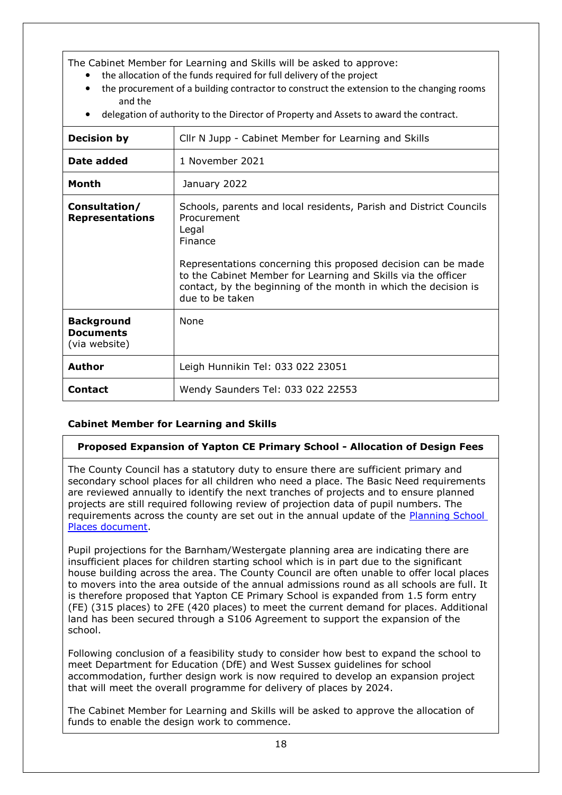The Cabinet Member for Learning and Skills will be asked to approve:

- the allocation of the funds required for full delivery of the project
- the procurement of a building contractor to construct the extension to the changing rooms and the
- delegation of authority to the Director of Property and Assets to award the contract.

| <b>Decision by</b>                                     | Cllr N Jupp - Cabinet Member for Learning and Skills                                                                                                                                                                                                                                                                          |
|--------------------------------------------------------|-------------------------------------------------------------------------------------------------------------------------------------------------------------------------------------------------------------------------------------------------------------------------------------------------------------------------------|
| Date added                                             | 1 November 2021                                                                                                                                                                                                                                                                                                               |
| Month                                                  | January 2022                                                                                                                                                                                                                                                                                                                  |
| Consultation/<br><b>Representations</b>                | Schools, parents and local residents, Parish and District Councils<br>Procurement<br>Legal<br>Finance<br>Representations concerning this proposed decision can be made<br>to the Cabinet Member for Learning and Skills via the officer<br>contact, by the beginning of the month in which the decision is<br>due to be taken |
| <b>Background</b><br><b>Documents</b><br>(via website) | None                                                                                                                                                                                                                                                                                                                          |
| Author                                                 | Leigh Hunnikin Tel: 033 022 23051                                                                                                                                                                                                                                                                                             |
| <b>Contact</b>                                         | Wendy Saunders Tel: 033 022 22553                                                                                                                                                                                                                                                                                             |

# **Cabinet Member for Learning and Skills**

## <span id="page-17-0"></span>**Proposed Expansion of Yapton CE Primary School - Allocation of Design Fees**

The County Council has a statutory duty to ensure there are sufficient primary and secondary school places for all children who need a place. The Basic Need requirements are reviewed annually to identify the next tranches of projects and to ensure planned projects are still required following review of projection data of pupil numbers. The requirements across the county are set out in the annual update of the [Planning School](https://www.westsussex.gov.uk/media/12383/planning_school_places.pdf)  [Places document.](https://www.westsussex.gov.uk/media/12383/planning_school_places.pdf)

Pupil projections for the Barnham/Westergate planning area are indicating there are insufficient places for children starting school which is in part due to the significant house building across the area. The County Council are often unable to offer local places to movers into the area outside of the annual admissions round as all schools are full. It is therefore proposed that Yapton CE Primary School is expanded from 1.5 form entry (FE) (315 places) to 2FE (420 places) to meet the current demand for places. Additional land has been secured through a S106 Agreement to support the expansion of the school.

Following conclusion of a feasibility study to consider how best to expand the school to meet Department for Education (DfE) and West Sussex guidelines for school accommodation, further design work is now required to develop an expansion project that will meet the overall programme for delivery of places by 2024.

The Cabinet Member for Learning and Skills will be asked to approve the allocation of funds to enable the design work to commence.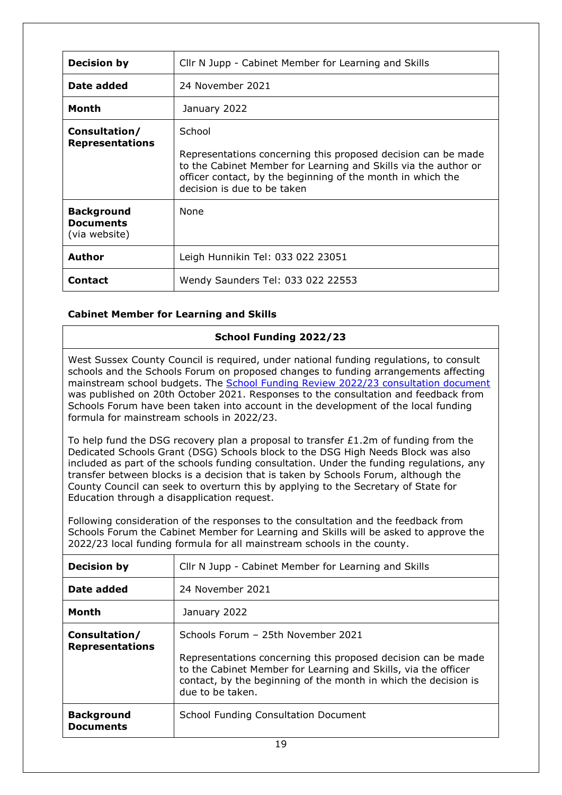| <b>Decision by</b>                                     | Cllr N Jupp - Cabinet Member for Learning and Skills                                                                                                                                                                                     |
|--------------------------------------------------------|------------------------------------------------------------------------------------------------------------------------------------------------------------------------------------------------------------------------------------------|
| Date added                                             | 24 November 2021                                                                                                                                                                                                                         |
| Month                                                  | January 2022                                                                                                                                                                                                                             |
| Consultation/<br><b>Representations</b>                | School<br>Representations concerning this proposed decision can be made<br>to the Cabinet Member for Learning and Skills via the author or<br>officer contact, by the beginning of the month in which the<br>decision is due to be taken |
| <b>Background</b><br><b>Documents</b><br>(via website) | None                                                                                                                                                                                                                                     |
| <b>Author</b>                                          | Leigh Hunnikin Tel: 033 022 23051                                                                                                                                                                                                        |
| <b>Contact</b>                                         | Wendy Saunders Tel: 033 022 22553                                                                                                                                                                                                        |

# **Cabinet Member for Learning and Skills**

# <span id="page-18-0"></span>**School Funding 2022/23**

West Sussex County Council is required, under national funding regulations, to consult schools and the Schools Forum on proposed changes to funding arrangements affecting mainstream school budgets. The [School Funding Review 2022/23 consultation document](https://yourvoice.westsussex.gov.uk/school-funding-2022-23) was published on 20th October 2021. Responses to the consultation and feedback from Schools Forum have been taken into account in the development of the local funding formula for mainstream schools in 2022/23.

To help fund the DSG recovery plan a proposal to transfer £1.2m of funding from the Dedicated Schools Grant (DSG) Schools block to the DSG High Needs Block was also included as part of the schools funding consultation. Under the funding regulations, any transfer between blocks is a decision that is taken by Schools Forum, although the County Council can seek to overturn this by applying to the Secretary of State for Education through a disapplication request.

Following consideration of the responses to the consultation and the feedback from Schools Forum the Cabinet Member for Learning and Skills will be asked to approve the 2022/23 local funding formula for all mainstream schools in the county.

| <b>Decision by</b>                      | Cllr N Jupp - Cabinet Member for Learning and Skills                                                                                                                                                                                                         |
|-----------------------------------------|--------------------------------------------------------------------------------------------------------------------------------------------------------------------------------------------------------------------------------------------------------------|
| Date added                              | 24 November 2021                                                                                                                                                                                                                                             |
| Month                                   | January 2022                                                                                                                                                                                                                                                 |
| Consultation/<br><b>Representations</b> | Schools Forum - 25th November 2021<br>Representations concerning this proposed decision can be made<br>to the Cabinet Member for Learning and Skills, via the officer<br>contact, by the beginning of the month in which the decision is<br>due to be taken. |
| <b>Background</b><br><b>Documents</b>   | <b>School Funding Consultation Document</b>                                                                                                                                                                                                                  |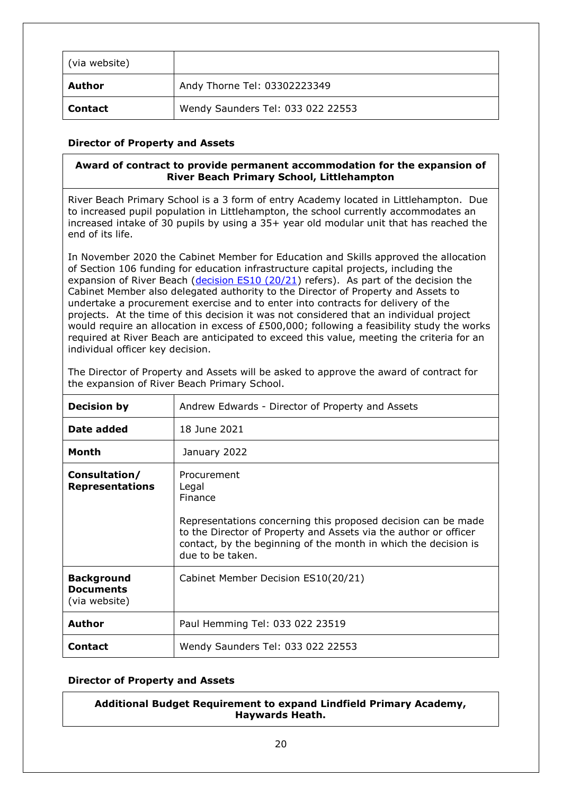| (via website)  |                                   |
|----------------|-----------------------------------|
| Author         | Andy Thorne Tel: 03302223349      |
| <b>Contact</b> | Wendy Saunders Tel: 033 022 22553 |

## **Director of Property and Assets**

## <span id="page-19-0"></span>**Award of contract to provide permanent accommodation for the expansion of River Beach Primary School, Littlehampton**

River Beach Primary School is a 3 form of entry Academy located in Littlehampton. Due to increased pupil population in Littlehampton, the school currently accommodates an increased intake of 30 pupils by using a 35+ year old modular unit that has reached the end of its life.

In November 2020 the Cabinet Member for Education and Skills approved the allocation of Section 106 funding for education infrastructure capital projects, including the expansion of River Beach [\(decision ES10 \(20/21\)](https://westsussex.moderngov.co.uk/documents/s19706/ES1020.21_S106_programme_Report.pdf) refers). As part of the decision the Cabinet Member also delegated authority to the Director of Property and Assets to undertake a procurement exercise and to enter into contracts for delivery of the projects. At the time of this decision it was not considered that an individual project would require an allocation in excess of £500,000; following a feasibility study the works required at River Beach are anticipated to exceed this value, meeting the criteria for an individual officer key decision.

| The Director of Property and Assets will be asked to approve the award of contract for |  |  |
|----------------------------------------------------------------------------------------|--|--|
| the expansion of River Beach Primary School.                                           |  |  |

| <b>Decision by</b>                                     | Andrew Edwards - Director of Property and Assets                                                                                                                                                                                                            |
|--------------------------------------------------------|-------------------------------------------------------------------------------------------------------------------------------------------------------------------------------------------------------------------------------------------------------------|
| Date added                                             | 18 June 2021                                                                                                                                                                                                                                                |
| Month                                                  | January 2022                                                                                                                                                                                                                                                |
| Consultation/<br><b>Representations</b>                | Procurement<br>Legal<br>Finance<br>Representations concerning this proposed decision can be made<br>to the Director of Property and Assets via the author or officer<br>contact, by the beginning of the month in which the decision is<br>due to be taken. |
| <b>Background</b><br><b>Documents</b><br>(via website) | Cabinet Member Decision ES10(20/21)                                                                                                                                                                                                                         |
| Author                                                 | Paul Hemming Tel: 033 022 23519                                                                                                                                                                                                                             |
| <b>Contact</b>                                         | Wendy Saunders Tel: 033 022 22553                                                                                                                                                                                                                           |

## **Director of Property and Assets**

<span id="page-19-1"></span>**Additional Budget Requirement to expand Lindfield Primary Academy, Haywards Heath.**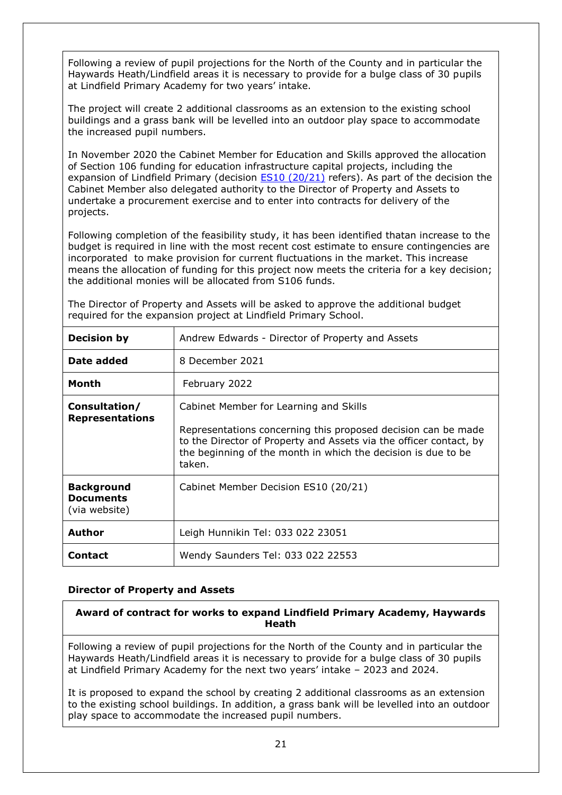Following a review of pupil projections for the North of the County and in particular the Haywards Heath/Lindfield areas it is necessary to provide for a bulge class of 30 pupils at Lindfield Primary Academy for two years' intake.

The project will create 2 additional classrooms as an extension to the existing school buildings and a grass bank will be levelled into an outdoor play space to accommodate the increased pupil numbers.

In November 2020 the Cabinet Member for Education and Skills approved the allocation of Section 106 funding for education infrastructure capital projects, including the expansion of Lindfield Primary (decision [ES10 \(20/21\)](https://westsussex.moderngov.co.uk/mgIssueHistoryHome.aspx?IId=10416&Opt=0) refers). As part of the decision the Cabinet Member also delegated authority to the Director of Property and Assets to undertake a procurement exercise and to enter into contracts for delivery of the projects.

Following completion of the feasibility study, it has been identified thatan increase to the budget is required in line with the most recent cost estimate to ensure contingencies are incorporated to make provision for current fluctuations in the market. This increase means the allocation of funding for this project now meets the criteria for a key decision; the additional monies will be allocated from S106 funds.

| <b>Decision by</b>                                     | Andrew Edwards - Director of Property and Assets                                                                                                                                                                                                         |
|--------------------------------------------------------|----------------------------------------------------------------------------------------------------------------------------------------------------------------------------------------------------------------------------------------------------------|
| Date added                                             | 8 December 2021                                                                                                                                                                                                                                          |
| Month                                                  | February 2022                                                                                                                                                                                                                                            |
| Consultation/<br><b>Representations</b>                | Cabinet Member for Learning and Skills<br>Representations concerning this proposed decision can be made<br>to the Director of Property and Assets via the officer contact, by<br>the beginning of the month in which the decision is due to be<br>taken. |
| <b>Background</b><br><b>Documents</b><br>(via website) | Cabinet Member Decision ES10 (20/21)                                                                                                                                                                                                                     |
| <b>Author</b>                                          | Leigh Hunnikin Tel: 033 022 23051                                                                                                                                                                                                                        |
| Contact                                                | Wendy Saunders Tel: 033 022 22553                                                                                                                                                                                                                        |

The Director of Property and Assets will be asked to approve the additional budget required for the expansion project at Lindfield Primary School.

#### **Director of Property and Assets**

<span id="page-20-0"></span>**Award of contract for works to expand Lindfield Primary Academy, Haywards Heath**

Following a review of pupil projections for the North of the County and in particular the Haywards Heath/Lindfield areas it is necessary to provide for a bulge class of 30 pupils at Lindfield Primary Academy for the next two years' intake – 2023 and 2024.

It is proposed to expand the school by creating 2 additional classrooms as an extension to the existing school buildings. In addition, a grass bank will be levelled into an outdoor play space to accommodate the increased pupil numbers.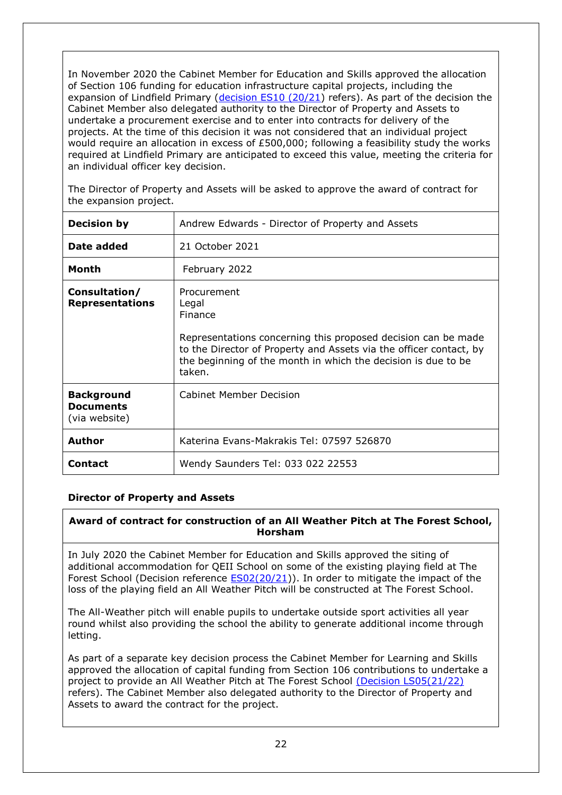In November 2020 the Cabinet Member for Education and Skills approved the allocation of Section 106 funding for education infrastructure capital projects, including the expansion of Lindfield Primary (decision  $ES10 (20/21)$  refers). As part of the decision the Cabinet Member also delegated authority to the Director of Property and Assets to undertake a procurement exercise and to enter into contracts for delivery of the projects. At the time of this decision it was not considered that an individual project would require an allocation in excess of £500,000; following a feasibility study the works required at Lindfield Primary are anticipated to exceed this value, meeting the criteria for an individual officer key decision.

The Director of Property and Assets will be asked to approve the award of contract for the expansion project.

| <b>Decision by</b>                                     | Andrew Edwards - Director of Property and Assets                                                                                                                                                                                                  |
|--------------------------------------------------------|---------------------------------------------------------------------------------------------------------------------------------------------------------------------------------------------------------------------------------------------------|
| Date added                                             | 21 October 2021                                                                                                                                                                                                                                   |
| Month                                                  | February 2022                                                                                                                                                                                                                                     |
| Consultation/<br><b>Representations</b>                | Procurement<br>Legal<br>Finance<br>Representations concerning this proposed decision can be made<br>to the Director of Property and Assets via the officer contact, by<br>the beginning of the month in which the decision is due to be<br>taken. |
| <b>Background</b><br><b>Documents</b><br>(via website) | <b>Cabinet Member Decision</b>                                                                                                                                                                                                                    |
| Author                                                 | Katerina Evans-Makrakis Tel: 07597 526870                                                                                                                                                                                                         |
| <b>Contact</b>                                         | Wendy Saunders Tel: 033 022 22553                                                                                                                                                                                                                 |

## **Director of Property and Assets**

# <span id="page-21-0"></span>**Award of contract for construction of an All Weather Pitch at The Forest School, Horsham**

In July 2020 the Cabinet Member for Education and Skills approved the siting of additional accommodation for QEII School on some of the existing playing field at The Forest School (Decision reference [ES02\(20/21\)](https://westsussex.moderngov.co.uk/ieDecisionDetails.aspx?id=975&LLL=0)). In order to mitigate the impact of the loss of the playing field an All Weather Pitch will be constructed at The Forest School.

The All-Weather pitch will enable pupils to undertake outside sport activities all year round whilst also providing the school the ability to generate additional income through letting.

As part of a separate key decision process the Cabinet Member for Learning and Skills approved the allocation of capital funding from Section 106 contributions to undertake a project to provide an All Weather Pitch at The Forest School [\(Decision LS05\(21/22\)](https://westsussex.moderngov.co.uk/ieDecisionDetails.aspx?id=1332&LLL=0) refers). The Cabinet Member also delegated authority to the Director of Property and Assets to award the contract for the project.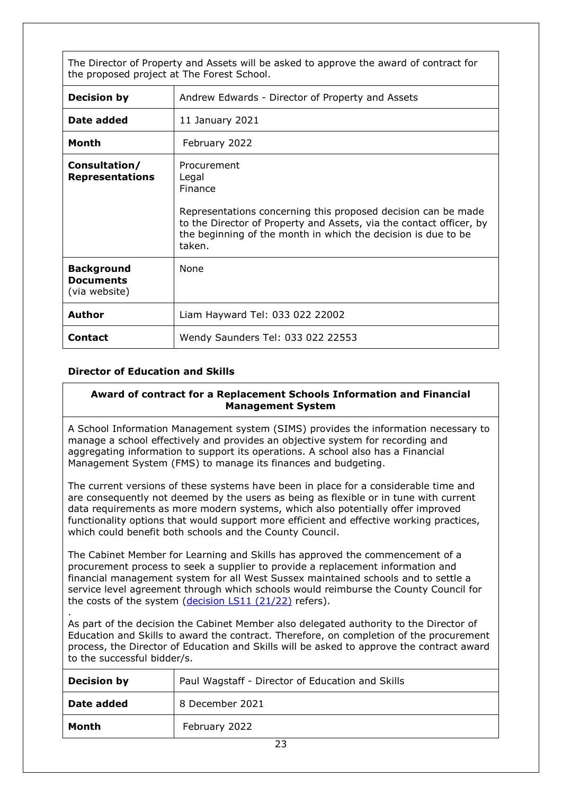The Director of Property and Assets will be asked to approve the award of contract for the proposed project at The Forest School.

| <b>Decision by</b>                                     | Andrew Edwards - Director of Property and Assets                                                                                                                                                                                                   |
|--------------------------------------------------------|----------------------------------------------------------------------------------------------------------------------------------------------------------------------------------------------------------------------------------------------------|
| Date added                                             | 11 January 2021                                                                                                                                                                                                                                    |
| Month                                                  | February 2022                                                                                                                                                                                                                                      |
| Consultation/<br><b>Representations</b>                | Procurement<br>Legal<br>Finance<br>Representations concerning this proposed decision can be made<br>to the Director of Property and Assets, via the contact officer, by<br>the beginning of the month in which the decision is due to be<br>taken. |
| <b>Background</b><br><b>Documents</b><br>(via website) | None                                                                                                                                                                                                                                               |
| <b>Author</b>                                          | Liam Hayward Tel: 033 022 22002                                                                                                                                                                                                                    |
| <b>Contact</b>                                         | Wendy Saunders Tel: 033 022 22553                                                                                                                                                                                                                  |

## **Director of Education and Skills**

#### <span id="page-22-0"></span>**Award of contract for a Replacement Schools Information and Financial Management System**

A School Information Management system (SIMS) provides the information necessary to manage a school effectively and provides an objective system for recording and aggregating information to support its operations. A school also has a Financial Management System (FMS) to manage its finances and budgeting.

The current versions of these systems have been in place for a considerable time and are consequently not deemed by the users as being as flexible or in tune with current data requirements as more modern systems, which also potentially offer improved functionality options that would support more efficient and effective working practices, which could benefit both schools and the County Council.

The Cabinet Member for Learning and Skills has approved the commencement of a procurement process to seek a supplier to provide a replacement information and financial management system for all West Sussex maintained schools and to settle a service level agreement through which schools would reimburse the County Council for the costs of the system [\(decision LS11 \(21/22\)](https://westsussex.moderngov.co.uk/ieDecisionDetails.aspx?Id=1408) refers).

. As part of the decision the Cabinet Member also delegated authority to the Director of Education and Skills to award the contract. Therefore, on completion of the procurement process, the Director of Education and Skills will be asked to approve the contract award to the successful bidder/s.

| <b>Decision by</b> | Paul Wagstaff - Director of Education and Skills |
|--------------------|--------------------------------------------------|
| Date added         | 8 December 2021                                  |
| Month              | February 2022                                    |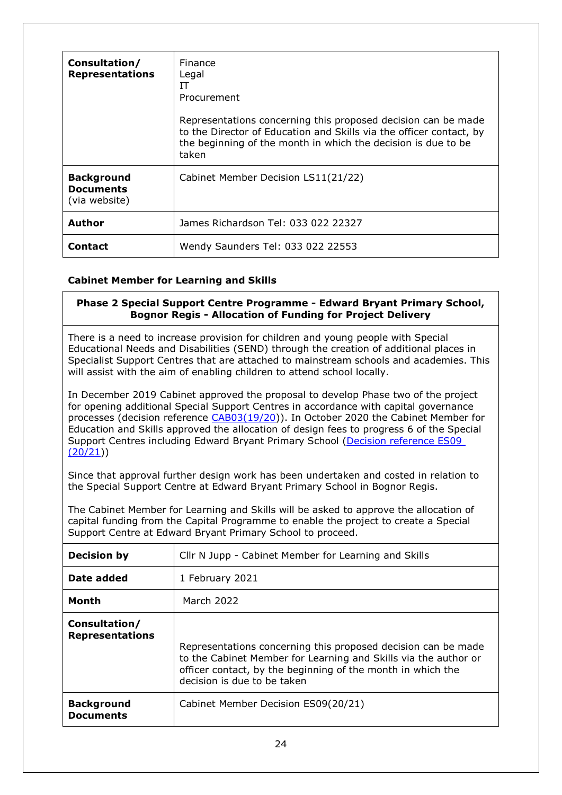| Consultation/<br><b>Representations</b>                | Finance<br>Legal<br>IΤ<br>Procurement<br>Representations concerning this proposed decision can be made<br>to the Director of Education and Skills via the officer contact, by<br>the beginning of the month in which the decision is due to be<br>taken |
|--------------------------------------------------------|---------------------------------------------------------------------------------------------------------------------------------------------------------------------------------------------------------------------------------------------------------|
| <b>Background</b><br><b>Documents</b><br>(via website) | Cabinet Member Decision LS11(21/22)                                                                                                                                                                                                                     |
| <b>Author</b>                                          | James Richardson Tel: 033 022 22327                                                                                                                                                                                                                     |
| <b>Contact</b>                                         | Wendy Saunders Tel: 033 022 22553                                                                                                                                                                                                                       |

# **Cabinet Member for Learning and Skills**

#### <span id="page-23-0"></span>**Phase 2 Special Support Centre Programme - Edward Bryant Primary School, Bognor Regis - Allocation of Funding for Project Delivery**

There is a need to increase provision for children and young people with Special Educational Needs and Disabilities (SEND) through the creation of additional places in Specialist Support Centres that are attached to mainstream schools and academies. This will assist with the aim of enabling children to attend school locally.

In December 2019 Cabinet approved the proposal to develop Phase two of the project for opening additional Special Support Centres in accordance with capital governance processes (decision reference [CAB03\(19/20\)](https://westsussex.moderngov.co.uk/ieDecisionDetails.aspx?ID=781)). In October 2020 the Cabinet Member for Education and Skills approved the allocation of design fees to progress 6 of the Special Support Centres including Edward Bryant Primary School [\(Decision reference ES09](https://westsussex.moderngov.co.uk/ieDecisionDetails.aspx?ID=1080)   $(20/21)$ 

Since that approval further design work has been undertaken and costed in relation to the Special Support Centre at Edward Bryant Primary School in Bognor Regis.

The Cabinet Member for Learning and Skills will be asked to approve the allocation of capital funding from the Capital Programme to enable the project to create a Special Support Centre at Edward Bryant Primary School to proceed.

| <b>Decision by</b>                      | Cllr N Jupp - Cabinet Member for Learning and Skills                                                                                                                                                                           |
|-----------------------------------------|--------------------------------------------------------------------------------------------------------------------------------------------------------------------------------------------------------------------------------|
| Date added                              | 1 February 2021                                                                                                                                                                                                                |
| Month                                   | <b>March 2022</b>                                                                                                                                                                                                              |
| Consultation/<br><b>Representations</b> | Representations concerning this proposed decision can be made<br>to the Cabinet Member for Learning and Skills via the author or<br>officer contact, by the beginning of the month in which the<br>decision is due to be taken |
| <b>Background</b><br><b>Documents</b>   | Cabinet Member Decision ES09(20/21)                                                                                                                                                                                            |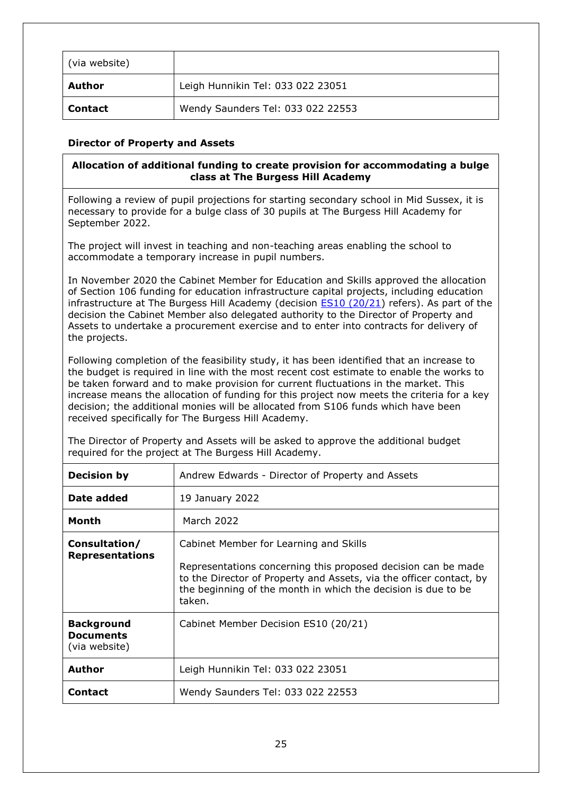| (via website)  |                                   |
|----------------|-----------------------------------|
| Author         | Leigh Hunnikin Tel: 033 022 23051 |
| <b>Contact</b> | Wendy Saunders Tel: 033 022 22553 |

## **Director of Property and Assets**

## <span id="page-24-0"></span>**Allocation of additional funding to create provision for accommodating a bulge class at The Burgess Hill Academy**

Following a review of pupil projections for starting secondary school in Mid Sussex, it is necessary to provide for a bulge class of 30 pupils at The Burgess Hill Academy for September 2022.

The project will invest in teaching and non-teaching areas enabling the school to accommodate a temporary increase in pupil numbers.

In November 2020 the Cabinet Member for Education and Skills approved the allocation of Section 106 funding for education infrastructure capital projects, including education infrastructure at The Burgess Hill Academy (decision  $ES10 (20/21)$  refers). As part of the decision the Cabinet Member also delegated authority to the Director of Property and Assets to undertake a procurement exercise and to enter into contracts for delivery of the projects.

Following completion of the feasibility study, it has been identified that an increase to the budget is required in line with the most recent cost estimate to enable the works to be taken forward and to make provision for current fluctuations in the market. This increase means the allocation of funding for this project now meets the criteria for a key decision; the additional monies will be allocated from S106 funds which have been received specifically for The Burgess Hill Academy.

The Director of Property and Assets will be asked to approve the additional budget required for the project at The Burgess Hill Academy.

| <b>Decision by</b>                                     | Andrew Edwards - Director of Property and Assets                                                                                                                                                                                                          |
|--------------------------------------------------------|-----------------------------------------------------------------------------------------------------------------------------------------------------------------------------------------------------------------------------------------------------------|
| Date added                                             | 19 January 2022                                                                                                                                                                                                                                           |
| Month                                                  | March 2022                                                                                                                                                                                                                                                |
| Consultation/<br><b>Representations</b>                | Cabinet Member for Learning and Skills<br>Representations concerning this proposed decision can be made<br>to the Director of Property and Assets, via the officer contact, by<br>the beginning of the month in which the decision is due to be<br>taken. |
| <b>Background</b><br><b>Documents</b><br>(via website) | Cabinet Member Decision ES10 (20/21)                                                                                                                                                                                                                      |
| Author                                                 | Leigh Hunnikin Tel: 033 022 23051                                                                                                                                                                                                                         |
| <b>Contact</b>                                         | Wendy Saunders Tel: 033 022 22553                                                                                                                                                                                                                         |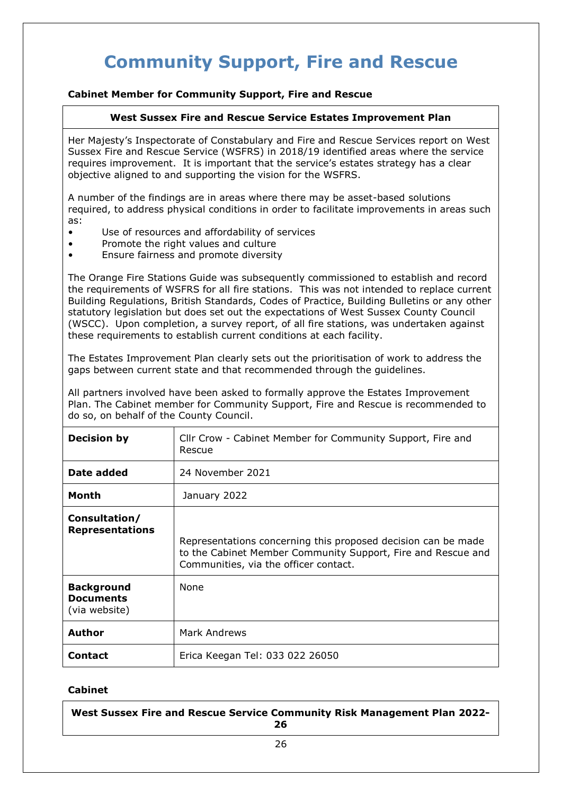# **Community Support, Fire and Rescue**

# **Cabinet Member for Community Support, Fire and Rescue**

## <span id="page-25-0"></span>**West Sussex Fire and Rescue Service Estates Improvement Plan**

Her Majesty's Inspectorate of Constabulary and Fire and Rescue Services report on West Sussex Fire and Rescue Service (WSFRS) in 2018/19 identified areas where the service requires improvement. It is important that the service's estates strategy has a clear objective aligned to and supporting the vision for the WSFRS.

A number of the findings are in areas where there may be asset-based solutions required, to address physical conditions in order to facilitate improvements in areas such as:

- Use of resources and affordability of services
- Promote the right values and culture
- Ensure fairness and promote diversity

The Orange Fire Stations Guide was subsequently commissioned to establish and record the requirements of WSFRS for all fire stations. This was not intended to replace current Building Regulations, British Standards, Codes of Practice, Building Bulletins or any other statutory legislation but does set out the expectations of West Sussex County Council (WSCC). Upon completion, a survey report, of all fire stations, was undertaken against these requirements to establish current conditions at each facility.

The Estates Improvement Plan clearly sets out the prioritisation of work to address the gaps between current state and that recommended through the guidelines.

All partners involved have been asked to formally approve the Estates Improvement Plan. The Cabinet member for Community Support, Fire and Rescue is recommended to do so, on behalf of the County Council.

| <b>Decision by</b>                                     | Cllr Crow - Cabinet Member for Community Support, Fire and<br>Rescue                                                                                                   |
|--------------------------------------------------------|------------------------------------------------------------------------------------------------------------------------------------------------------------------------|
| Date added                                             | 24 November 2021                                                                                                                                                       |
| Month                                                  | January 2022                                                                                                                                                           |
| Consultation/<br><b>Representations</b>                | Representations concerning this proposed decision can be made<br>to the Cabinet Member Community Support, Fire and Rescue and<br>Communities, via the officer contact. |
| <b>Background</b><br><b>Documents</b><br>(via website) | None                                                                                                                                                                   |
| <b>Author</b>                                          | Mark Andrews                                                                                                                                                           |
| <b>Contact</b>                                         | Erica Keegan Tel: 033 022 26050                                                                                                                                        |

## **Cabinet**

<span id="page-25-1"></span>**West Sussex Fire and Rescue Service Community Risk Management Plan 2022- 26**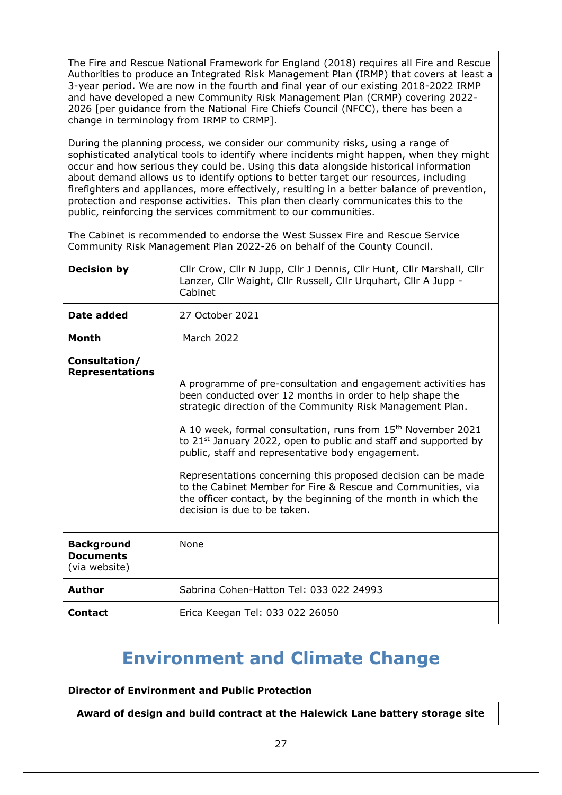The Fire and Rescue National Framework for England (2018) requires all Fire and Rescue Authorities to produce an Integrated Risk Management Plan (IRMP) that covers at least a 3-year period. We are now in the fourth and final year of our existing 2018-2022 IRMP and have developed a new Community Risk Management Plan (CRMP) covering 2022- 2026 [per guidance from the National Fire Chiefs Council (NFCC), there has been a change in terminology from IRMP to CRMP].

During the planning process, we consider our community risks, using a range of sophisticated analytical tools to identify where incidents might happen, when they might occur and how serious they could be. Using this data alongside historical information about demand allows us to identify options to better target our resources, including firefighters and appliances, more effectively, resulting in a better balance of prevention, protection and response activities. This plan then clearly communicates this to the public, reinforcing the services commitment to our communities.

The Cabinet is recommended to endorse the West Sussex Fire and Rescue Service Community Risk Management Plan 2022-26 on behalf of the County Council.

| <b>Decision by</b>                                     | Cllr Crow, Cllr N Jupp, Cllr J Dennis, Cllr Hunt, Cllr Marshall, Cllr<br>Lanzer, Cllr Waight, Cllr Russell, Cllr Urguhart, Cllr A Jupp -<br>Cabinet                                                                                                                                                                                                                                                                                                                                                                                                                                                                                         |
|--------------------------------------------------------|---------------------------------------------------------------------------------------------------------------------------------------------------------------------------------------------------------------------------------------------------------------------------------------------------------------------------------------------------------------------------------------------------------------------------------------------------------------------------------------------------------------------------------------------------------------------------------------------------------------------------------------------|
| Date added                                             | 27 October 2021                                                                                                                                                                                                                                                                                                                                                                                                                                                                                                                                                                                                                             |
| <b>Month</b>                                           | March 2022                                                                                                                                                                                                                                                                                                                                                                                                                                                                                                                                                                                                                                  |
| Consultation/<br><b>Representations</b>                | A programme of pre-consultation and engagement activities has<br>been conducted over 12 months in order to help shape the<br>strategic direction of the Community Risk Management Plan.<br>A 10 week, formal consultation, runs from 15 <sup>th</sup> November 2021<br>to 21 <sup>st</sup> January 2022, open to public and staff and supported by<br>public, staff and representative body engagement.<br>Representations concerning this proposed decision can be made<br>to the Cabinet Member for Fire & Rescue and Communities, via<br>the officer contact, by the beginning of the month in which the<br>decision is due to be taken. |
| <b>Background</b><br><b>Documents</b><br>(via website) | <b>None</b>                                                                                                                                                                                                                                                                                                                                                                                                                                                                                                                                                                                                                                 |
| <b>Author</b>                                          | Sabrina Cohen-Hatton Tel: 033 022 24993                                                                                                                                                                                                                                                                                                                                                                                                                                                                                                                                                                                                     |
| <b>Contact</b>                                         | Erica Keegan Tel: 033 022 26050                                                                                                                                                                                                                                                                                                                                                                                                                                                                                                                                                                                                             |

# <span id="page-26-0"></span>**Environment and Climate Change**

**Director of Environment and Public Protection**

**Award of design and build contract at the Halewick Lane battery storage site**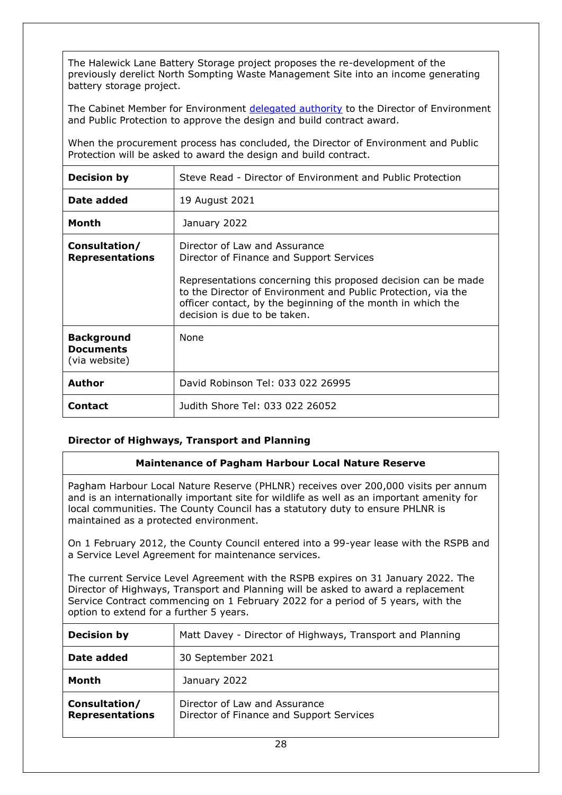The Halewick Lane Battery Storage project proposes the re-development of the previously derelict North Sompting Waste Management Site into an income generating battery storage project.

The Cabinet Member for Environment [delegated authority](https://westsussex.moderngov.co.uk/ieDecisionDetails.aspx?ID=1214) to the Director of Environment and Public Protection to approve the design and build contract award.

When the procurement process has concluded, the Director of Environment and Public Protection will be asked to award the design and build contract.

| <b>Decision by</b>                                     | Steve Read - Director of Environment and Public Protection                                                                                                                                                                                                                                                 |
|--------------------------------------------------------|------------------------------------------------------------------------------------------------------------------------------------------------------------------------------------------------------------------------------------------------------------------------------------------------------------|
| Date added                                             | 19 August 2021                                                                                                                                                                                                                                                                                             |
| Month                                                  | January 2022                                                                                                                                                                                                                                                                                               |
| Consultation/<br><b>Representations</b>                | Director of Law and Assurance<br>Director of Finance and Support Services<br>Representations concerning this proposed decision can be made<br>to the Director of Environment and Public Protection, via the<br>officer contact, by the beginning of the month in which the<br>decision is due to be taken. |
| <b>Background</b><br><b>Documents</b><br>(via website) | <b>None</b>                                                                                                                                                                                                                                                                                                |
| <b>Author</b>                                          | David Robinson Tel: 033 022 26995                                                                                                                                                                                                                                                                          |
| <b>Contact</b>                                         | Judith Shore Tel: 033 022 26052                                                                                                                                                                                                                                                                            |

## **Director of Highways, Transport and Planning**

#### <span id="page-27-0"></span>**Maintenance of Pagham Harbour Local Nature Reserve**

Pagham Harbour Local Nature Reserve (PHLNR) receives over 200,000 visits per annum and is an internationally important site for wildlife as well as an important amenity for local communities. The County Council has a statutory duty to ensure PHLNR is maintained as a protected environment.

On 1 February 2012, the County Council entered into a 99-year lease with the RSPB and a Service Level Agreement for maintenance services.

The current Service Level Agreement with the RSPB expires on 31 January 2022. The Director of Highways, Transport and Planning will be asked to award a replacement Service Contract commencing on 1 February 2022 for a period of 5 years, with the option to extend for a further 5 years.

| <b>Decision by</b>                      | Matt Davey - Director of Highways, Transport and Planning                 |
|-----------------------------------------|---------------------------------------------------------------------------|
| Date added                              | 30 September 2021                                                         |
| Month                                   | January 2022                                                              |
| Consultation/<br><b>Representations</b> | Director of Law and Assurance<br>Director of Finance and Support Services |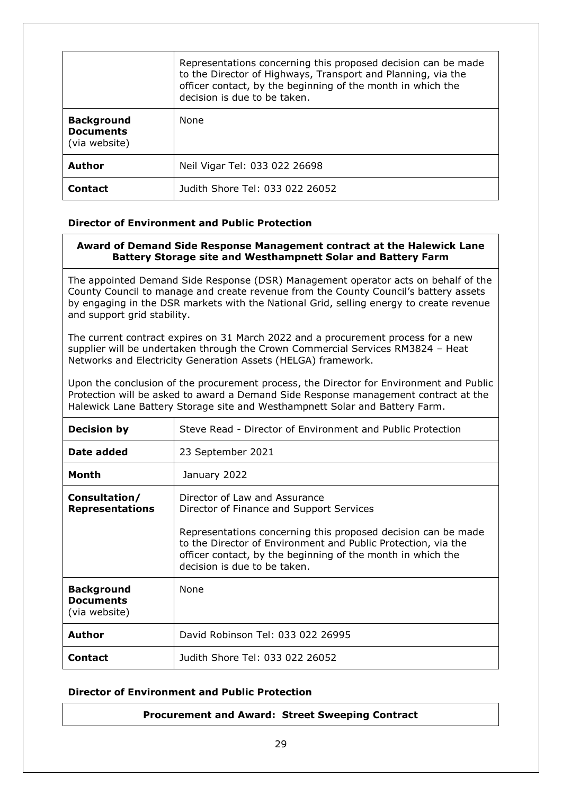|                                                        | Representations concerning this proposed decision can be made<br>to the Director of Highways, Transport and Planning, via the<br>officer contact, by the beginning of the month in which the<br>decision is due to be taken. |
|--------------------------------------------------------|------------------------------------------------------------------------------------------------------------------------------------------------------------------------------------------------------------------------------|
| <b>Background</b><br><b>Documents</b><br>(via website) | None                                                                                                                                                                                                                         |
| Author                                                 | Neil Vigar Tel: 033 022 26698                                                                                                                                                                                                |
| Contact                                                | Judith Shore Tel: 033 022 26052                                                                                                                                                                                              |

## **Director of Environment and Public Protection**

#### <span id="page-28-0"></span>**Award of Demand Side Response Management contract at the Halewick Lane Battery Storage site and Westhampnett Solar and Battery Farm**

The appointed Demand Side Response (DSR) Management operator acts on behalf of the County Council to manage and create revenue from the County Council's battery assets by engaging in the DSR markets with the National Grid, selling energy to create revenue and support grid stability.

The current contract expires on 31 March 2022 and a procurement process for a new supplier will be undertaken through the Crown Commercial Services RM3824 – Heat Networks and Electricity Generation Assets (HELGA) framework.

Upon the conclusion of the procurement process, the Director for Environment and Public Protection will be asked to award a Demand Side Response management contract at the Halewick Lane Battery Storage site and Westhampnett Solar and Battery Farm.

| <b>Decision by</b>                                     | Steve Read - Director of Environment and Public Protection                                                                                                                                                                                                                                                 |
|--------------------------------------------------------|------------------------------------------------------------------------------------------------------------------------------------------------------------------------------------------------------------------------------------------------------------------------------------------------------------|
| Date added                                             | 23 September 2021                                                                                                                                                                                                                                                                                          |
| Month                                                  | January 2022                                                                                                                                                                                                                                                                                               |
| Consultation/<br><b>Representations</b>                | Director of Law and Assurance<br>Director of Finance and Support Services<br>Representations concerning this proposed decision can be made<br>to the Director of Environment and Public Protection, via the<br>officer contact, by the beginning of the month in which the<br>decision is due to be taken. |
| <b>Background</b><br><b>Documents</b><br>(via website) | None                                                                                                                                                                                                                                                                                                       |
| Author                                                 | David Robinson Tel: 033 022 26995                                                                                                                                                                                                                                                                          |
| <b>Contact</b>                                         | Judith Shore Tel: 033 022 26052                                                                                                                                                                                                                                                                            |

#### **Director of Environment and Public Protection**

#### <span id="page-28-1"></span>**Procurement and Award: Street Sweeping Contract**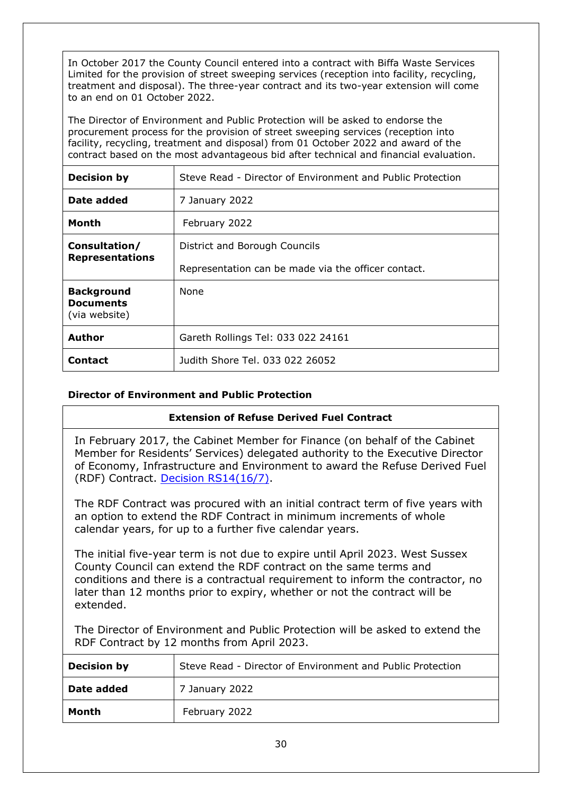In October 2017 the County Council entered into a contract with Biffa Waste Services Limited for the provision of street sweeping services (reception into facility, recycling, treatment and disposal). The three-year contract and its two-year extension will come to an end on 01 October 2022.

The Director of Environment and Public Protection will be asked to endorse the procurement process for the provision of street sweeping services (reception into facility, recycling, treatment and disposal) from 01 October 2022 and award of the contract based on the most advantageous bid after technical and financial evaluation.

| <b>Decision by</b>                                     | Steve Read - Director of Environment and Public Protection |
|--------------------------------------------------------|------------------------------------------------------------|
| Date added                                             | 7 January 2022                                             |
| Month                                                  | February 2022                                              |
| Consultation/                                          | District and Borough Councils                              |
| <b>Representations</b>                                 | Representation can be made via the officer contact.        |
| <b>Background</b><br><b>Documents</b><br>(via website) | <b>None</b>                                                |
| Author                                                 | Gareth Rollings Tel: 033 022 24161                         |
| <b>Contact</b>                                         | Judith Shore Tel. 033 022 26052                            |

# **Director of Environment and Public Protection**

## <span id="page-29-0"></span>**Extension of Refuse Derived Fuel Contract**

In February 2017, the Cabinet Member for Finance (on behalf of the Cabinet Member for Residents' Services) delegated authority to the Executive Director of Economy, Infrastructure and Environment to award the Refuse Derived Fuel (RDF) Contract. [Decision RS14\(16/7\).](http://www2.westsussex.gov.uk/ds/edd/rs/rs14_16-17record.pdf)

The RDF Contract was procured with an initial contract term of five years with an option to extend the RDF Contract in minimum increments of whole calendar years, for up to a further five calendar years.

The initial five-year term is not due to expire until April 2023. West Sussex County Council can extend the RDF contract on the same terms and conditions and there is a contractual requirement to inform the contractor, no later than 12 months prior to expiry, whether or not the contract will be extended.

The Director of Environment and Public Protection will be asked to extend the RDF Contract by 12 months from April 2023.

| <b>Decision by</b> | Steve Read - Director of Environment and Public Protection |
|--------------------|------------------------------------------------------------|
| Date added         | 7 January 2022                                             |
| Month              | February 2022                                              |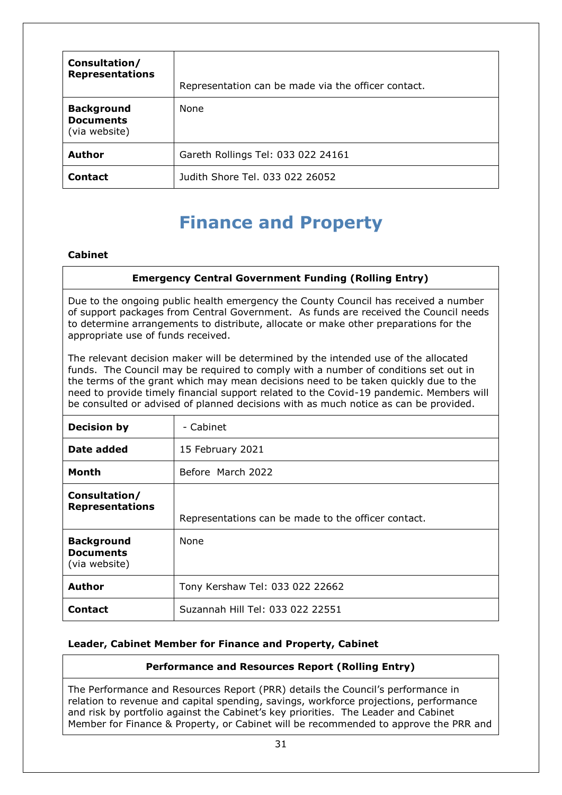| Consultation/<br><b>Representations</b>                | Representation can be made via the officer contact. |
|--------------------------------------------------------|-----------------------------------------------------|
| <b>Background</b><br><b>Documents</b><br>(via website) | None                                                |
| <b>Author</b>                                          | Gareth Rollings Tel: 033 022 24161                  |
| <b>Contact</b>                                         | Judith Shore Tel. 033 022 26052                     |

# <span id="page-30-0"></span>**Finance and Property**

## **Cabinet**

# **Emergency Central Government Funding (Rolling Entry)**

Due to the ongoing public health emergency the County Council has received a number of support packages from Central Government. As funds are received the Council needs to determine arrangements to distribute, allocate or make other preparations for the appropriate use of funds received.

The relevant decision maker will be determined by the intended use of the allocated funds. The Council may be required to comply with a number of conditions set out in the terms of the grant which may mean decisions need to be taken quickly due to the need to provide timely financial support related to the Covid-19 pandemic. Members will be consulted or advised of planned decisions with as much notice as can be provided.

| <b>Decision by</b>                                     | - Cabinet                                           |
|--------------------------------------------------------|-----------------------------------------------------|
| Date added                                             | 15 February 2021                                    |
| Month                                                  | Before March 2022                                   |
| Consultation/<br><b>Representations</b>                | Representations can be made to the officer contact. |
| <b>Background</b><br><b>Documents</b><br>(via website) | <b>None</b>                                         |
| <b>Author</b>                                          | Tony Kershaw Tel: 033 022 22662                     |
| <b>Contact</b>                                         | Suzannah Hill Tel: 033 022 22551                    |

## **Leader, Cabinet Member for Finance and Property, Cabinet**

# <span id="page-30-1"></span>**Performance and Resources Report (Rolling Entry)**

The Performance and Resources Report (PRR) details the Council's performance in relation to revenue and capital spending, savings, workforce projections, performance and risk by portfolio against the Cabinet's key priorities. The Leader and Cabinet Member for Finance & Property, or Cabinet will be recommended to approve the PRR and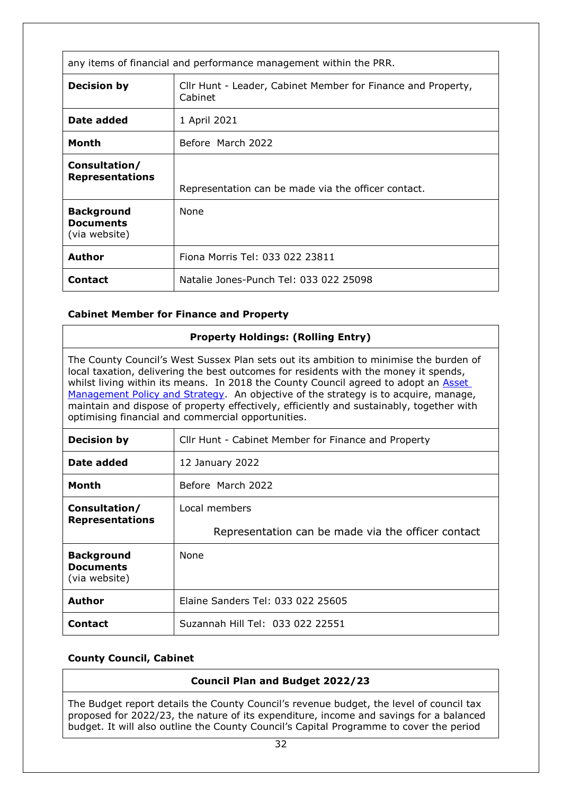| any items of financial and performance management within the PRR. |                                                                         |
|-------------------------------------------------------------------|-------------------------------------------------------------------------|
| <b>Decision by</b>                                                | Cllr Hunt - Leader, Cabinet Member for Finance and Property,<br>Cabinet |
| Date added                                                        | 1 April 2021                                                            |
| Month                                                             | Before March 2022                                                       |
| Consultation/<br><b>Representations</b>                           | Representation can be made via the officer contact.                     |
| <b>Background</b><br><b>Documents</b><br>(via website)            | None                                                                    |
| <b>Author</b>                                                     | Fiona Morris Tel: 033 022 23811                                         |
| <b>Contact</b>                                                    | Natalie Jones-Punch Tel: 033 022 25098                                  |

## <span id="page-31-0"></span>**Cabinet Member for Finance and Property**

| <b>Property Holdings: (Rolling Entry)</b>                                                                                                                                                                                                                                                                                                                                                                                                                                                                     |                                                     |
|---------------------------------------------------------------------------------------------------------------------------------------------------------------------------------------------------------------------------------------------------------------------------------------------------------------------------------------------------------------------------------------------------------------------------------------------------------------------------------------------------------------|-----------------------------------------------------|
| The County Council's West Sussex Plan sets out its ambition to minimise the burden of<br>local taxation, delivering the best outcomes for residents with the money it spends,<br>whilst living within its means. In 2018 the County Council agreed to adopt an Asset<br>Management Policy and Strategy. An objective of the strategy is to acquire, manage,<br>maintain and dispose of property effectively, efficiently and sustainably, together with<br>optimising financial and commercial opportunities. |                                                     |
| <b>Decision by</b>                                                                                                                                                                                                                                                                                                                                                                                                                                                                                            | Cllr Hunt - Cabinet Member for Finance and Property |
| Date added                                                                                                                                                                                                                                                                                                                                                                                                                                                                                                    | 12 January 2022                                     |
| Month                                                                                                                                                                                                                                                                                                                                                                                                                                                                                                         | Before, March 2022                                  |
| Consultation/                                                                                                                                                                                                                                                                                                                                                                                                                                                                                                 | Local members                                       |
| <b>Representations</b>                                                                                                                                                                                                                                                                                                                                                                                                                                                                                        | Representation can be made via the officer contact  |
| <b>Background</b><br><b>Documents</b><br>(via website)                                                                                                                                                                                                                                                                                                                                                                                                                                                        | <b>None</b>                                         |
| Author                                                                                                                                                                                                                                                                                                                                                                                                                                                                                                        | Elaine Sanders Tel: 033 022 25605                   |
| <b>Contact</b>                                                                                                                                                                                                                                                                                                                                                                                                                                                                                                | Suzannah Hill Tel: 033 022 22551                    |

## **County Council, Cabinet**

# <span id="page-31-1"></span>**Council Plan and Budget 2022/23**

The Budget report details the County Council's revenue budget, the level of council tax proposed for 2022/23, the nature of its expenditure, income and savings for a balanced budget. It will also outline the County Council's Capital Programme to cover the period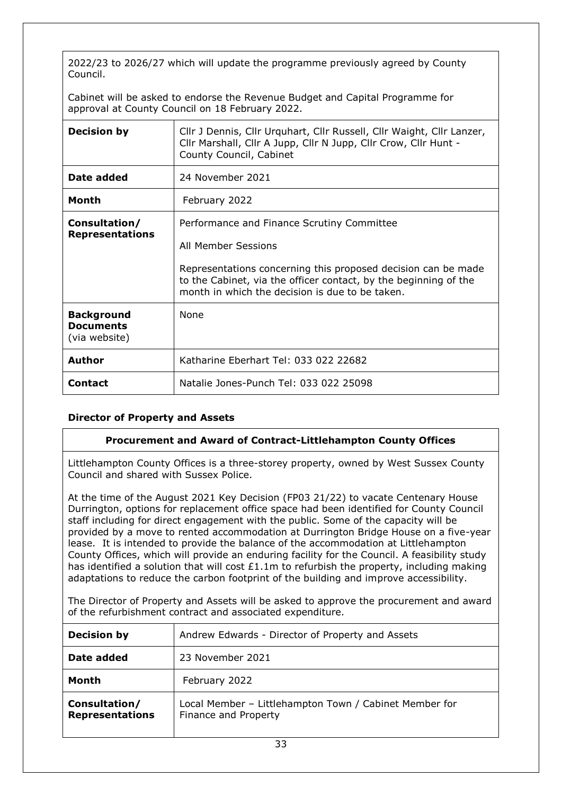2022/23 to 2026/27 which will update the programme previously agreed by County Council.

Cabinet will be asked to endorse the Revenue Budget and Capital Programme for approval at County Council on 18 February 2022.

| <b>Decision by</b>                                     | Cllr J Dennis, Cllr Urquhart, Cllr Russell, Cllr Waight, Cllr Lanzer,<br>Cllr Marshall, Cllr A Jupp, Cllr N Jupp, Cllr Crow, Cllr Hunt -<br>County Council, Cabinet                                                                                       |
|--------------------------------------------------------|-----------------------------------------------------------------------------------------------------------------------------------------------------------------------------------------------------------------------------------------------------------|
| Date added                                             | 24 November 2021                                                                                                                                                                                                                                          |
| Month                                                  | February 2022                                                                                                                                                                                                                                             |
| Consultation/<br><b>Representations</b>                | Performance and Finance Scrutiny Committee<br>All Member Sessions<br>Representations concerning this proposed decision can be made<br>to the Cabinet, via the officer contact, by the beginning of the<br>month in which the decision is due to be taken. |
| <b>Background</b><br><b>Documents</b><br>(via website) | <b>None</b>                                                                                                                                                                                                                                               |
| Author                                                 | Katharine Eberhart Tel: 033 022 22682                                                                                                                                                                                                                     |
| <b>Contact</b>                                         | Natalie Jones-Punch Tel: 033 022 25098                                                                                                                                                                                                                    |

## **Director of Property and Assets**

#### <span id="page-32-0"></span>**Procurement and Award of Contract-Littlehampton County Offices**

Littlehampton County Offices is a three-storey property, owned by West Sussex County Council and shared with Sussex Police.

At the time of the August 2021 Key Decision (FP03 21/22) to vacate Centenary House Durrington, options for replacement office space had been identified for County Council staff including for direct engagement with the public. Some of the capacity will be provided by a move to rented accommodation at Durrington Bridge House on a five-year lease. It is intended to provide the balance of the accommodation at Littlehampton County Offices, which will provide an enduring facility for the Council. A feasibility study has identified a solution that will cost  $£1.1m$  to refurbish the property, including making adaptations to reduce the carbon footprint of the building and improve accessibility.

The Director of Property and Assets will be asked to approve the procurement and award of the refurbishment contract and associated expenditure.

| <b>Decision by</b>                      | Andrew Edwards - Director of Property and Assets                               |
|-----------------------------------------|--------------------------------------------------------------------------------|
| Date added                              | 23 November 2021                                                               |
| Month                                   | February 2022                                                                  |
| Consultation/<br><b>Representations</b> | Local Member - Littlehampton Town / Cabinet Member for<br>Finance and Property |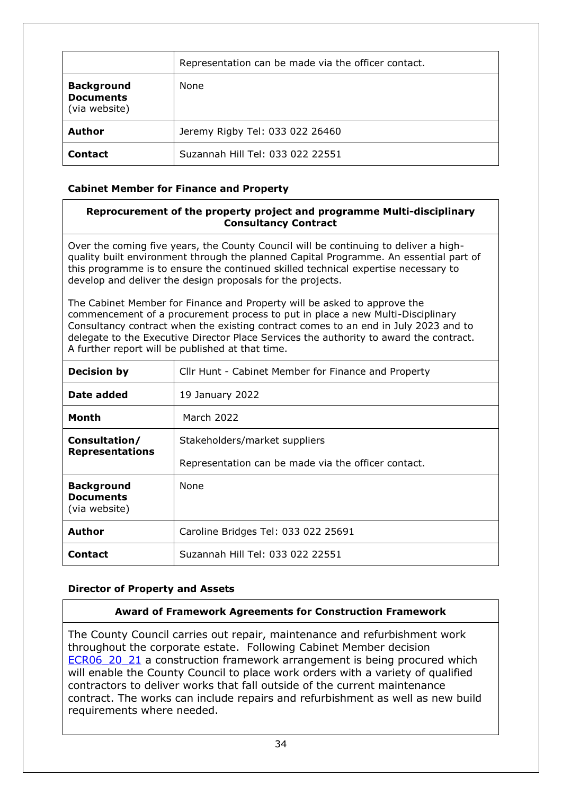|                                                        | Representation can be made via the officer contact. |
|--------------------------------------------------------|-----------------------------------------------------|
| <b>Background</b><br><b>Documents</b><br>(via website) | None                                                |
| <b>Author</b>                                          | Jeremy Rigby Tel: 033 022 26460                     |
| <b>Contact</b>                                         | Suzannah Hill Tel: 033 022 22551                    |

# **Cabinet Member for Finance and Property**

# <span id="page-33-0"></span>**Reprocurement of the property project and programme Multi-disciplinary Consultancy Contract**

Over the coming five years, the County Council will be continuing to deliver a highquality built environment through the planned Capital Programme. An essential part of this programme is to ensure the continued skilled technical expertise necessary to develop and deliver the design proposals for the projects.

The Cabinet Member for Finance and Property will be asked to approve the commencement of a procurement process to put in place a new Multi-Disciplinary Consultancy contract when the existing contract comes to an end in July 2023 and to delegate to the Executive Director Place Services the authority to award the contract. A further report will be published at that time.

| <b>Decision by</b>                                     | Cllr Hunt - Cabinet Member for Finance and Property |
|--------------------------------------------------------|-----------------------------------------------------|
| Date added                                             | 19 January 2022                                     |
| Month                                                  | March 2022                                          |
| Consultation/                                          | Stakeholders/market suppliers                       |
| <b>Representations</b>                                 | Representation can be made via the officer contact. |
| <b>Background</b><br><b>Documents</b><br>(via website) | <b>None</b>                                         |
| <b>Author</b>                                          | Caroline Bridges Tel: 033 022 25691                 |
| <b>Contact</b>                                         | Suzannah Hill Tel: 033 022 22551                    |

## **Director of Property and Assets**

## <span id="page-33-1"></span>**Award of Framework Agreements for Construction Framework**

The County Council carries out repair, maintenance and refurbishment work throughout the corporate estate. Following Cabinet Member decision ECR06 20 21 a construction framework arrangement is being procured which will enable the County Council to place work orders with a variety of qualified contractors to deliver works that fall outside of the current maintenance contract. The works can include repairs and refurbishment as well as new build requirements where needed.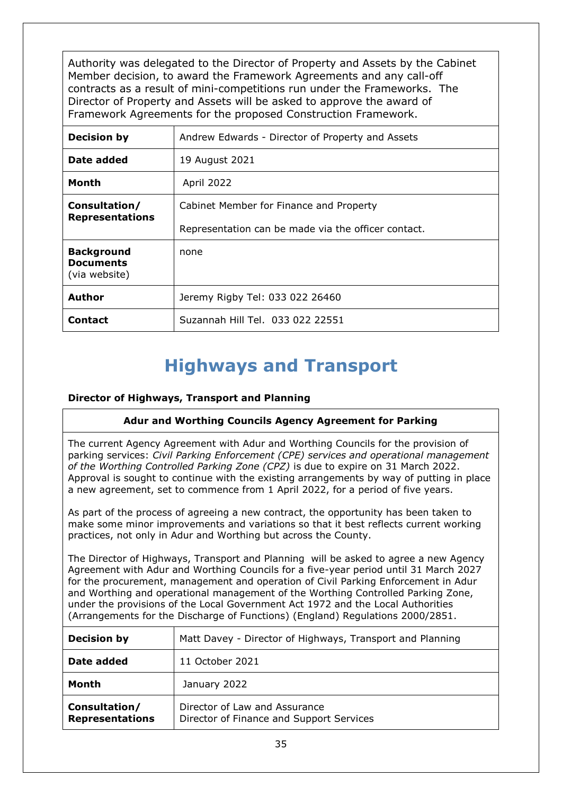Authority was delegated to the Director of Property and Assets by the Cabinet Member decision, to award the Framework Agreements and any call-off contracts as a result of mini-competitions run under the Frameworks. The Director of Property and Assets will be asked to approve the award of Framework Agreements for the proposed Construction Framework.

| <b>Decision by</b>                                     | Andrew Edwards - Director of Property and Assets    |
|--------------------------------------------------------|-----------------------------------------------------|
| Date added                                             | 19 August 2021                                      |
| Month                                                  | April 2022                                          |
| Consultation/                                          | Cabinet Member for Finance and Property             |
| <b>Representations</b>                                 | Representation can be made via the officer contact. |
| <b>Background</b><br><b>Documents</b><br>(via website) | none                                                |
| <b>Author</b>                                          | Jeremy Rigby Tel: 033 022 26460                     |
| <b>Contact</b>                                         | Suzannah Hill Tel. 033 022 22551                    |

# <span id="page-34-0"></span>**Highways and Transport**

# **Director of Highways, Transport and Planning**

## **Adur and Worthing Councils Agency Agreement for Parking**

The current Agency Agreement with Adur and Worthing Councils for the provision of parking services: *Civil Parking Enforcement (CPE) services and operational management of the Worthing Controlled Parking Zone (CPZ)* is due to expire on 31 March 2022. Approval is sought to continue with the existing arrangements by way of putting in place a new agreement, set to commence from 1 April 2022, for a period of five years.

As part of the process of agreeing a new contract, the opportunity has been taken to make some minor improvements and variations so that it best reflects current working practices, not only in Adur and Worthing but across the County.

The Director of Highways, Transport and Planning will be asked to agree a new Agency Agreement with Adur and Worthing Councils for a five-year period until 31 March 2027 for the procurement, management and operation of Civil Parking Enforcement in Adur and Worthing and operational management of the Worthing Controlled Parking Zone, under the provisions of the Local Government Act 1972 and the Local Authorities (Arrangements for the Discharge of Functions) (England) Regulations 2000/2851.

| <b>Decision by</b>                      | Matt Davey - Director of Highways, Transport and Planning                 |
|-----------------------------------------|---------------------------------------------------------------------------|
| Date added                              | 11 October 2021                                                           |
| Month                                   | January 2022                                                              |
| Consultation/<br><b>Representations</b> | Director of Law and Assurance<br>Director of Finance and Support Services |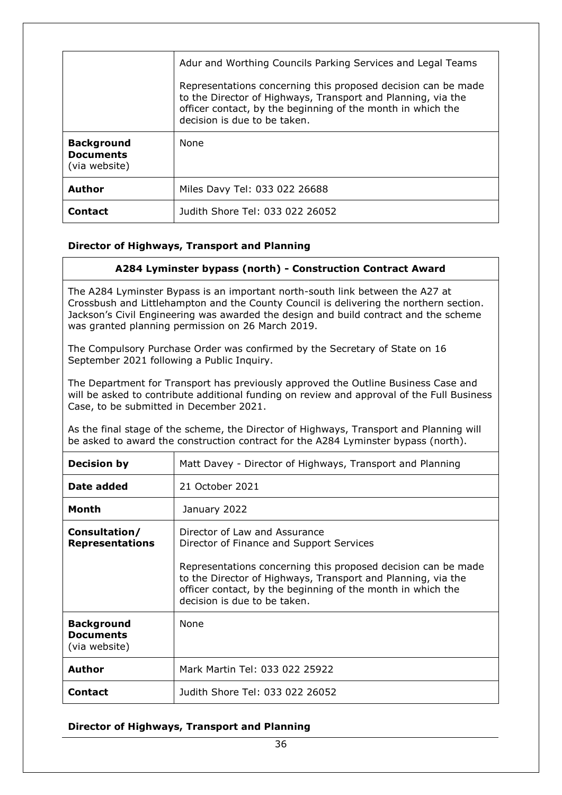|                                                        | Adur and Worthing Councils Parking Services and Legal Teams<br>Representations concerning this proposed decision can be made<br>to the Director of Highways, Transport and Planning, via the<br>officer contact, by the beginning of the month in which the<br>decision is due to be taken. |
|--------------------------------------------------------|---------------------------------------------------------------------------------------------------------------------------------------------------------------------------------------------------------------------------------------------------------------------------------------------|
| <b>Background</b><br><b>Documents</b><br>(via website) | <b>None</b>                                                                                                                                                                                                                                                                                 |
| <b>Author</b>                                          | Miles Davy Tel: 033 022 26688                                                                                                                                                                                                                                                               |
| <b>Contact</b>                                         | Judith Shore Tel: 033 022 26052                                                                                                                                                                                                                                                             |

## **Director of Highways, Transport and Planning**

## <span id="page-35-0"></span>**A284 Lyminster bypass (north) - Construction Contract Award**

The A284 Lyminster Bypass is an important north-south link between the A27 at Crossbush and Littlehampton and the County Council is delivering the northern section. Jackson's Civil Engineering was awarded the design and build contract and the scheme was granted planning permission on 26 March 2019.

The Compulsory Purchase Order was confirmed by the Secretary of State on 16 September 2021 following a Public Inquiry.

The Department for Transport has previously approved the Outline Business Case and will be asked to contribute additional funding on review and approval of the Full Business Case, to be submitted in December 2021.

As the final stage of the scheme, the Director of Highways, Transport and Planning will be asked to award the construction contract for the A284 Lyminster bypass (north).

| <b>Decision by</b>                                     | Matt Davey - Director of Highways, Transport and Planning                                                                                                                                                                                                                                                 |
|--------------------------------------------------------|-----------------------------------------------------------------------------------------------------------------------------------------------------------------------------------------------------------------------------------------------------------------------------------------------------------|
| Date added                                             | 21 October 2021                                                                                                                                                                                                                                                                                           |
| Month                                                  | January 2022                                                                                                                                                                                                                                                                                              |
| Consultation/<br><b>Representations</b>                | Director of Law and Assurance<br>Director of Finance and Support Services<br>Representations concerning this proposed decision can be made<br>to the Director of Highways, Transport and Planning, via the<br>officer contact, by the beginning of the month in which the<br>decision is due to be taken. |
| <b>Background</b><br><b>Documents</b><br>(via website) | None                                                                                                                                                                                                                                                                                                      |
| Author                                                 | Mark Martin Tel: 033 022 25922                                                                                                                                                                                                                                                                            |
| <b>Contact</b>                                         | Judith Shore Tel: 033 022 26052                                                                                                                                                                                                                                                                           |

## **Director of Highways, Transport and Planning**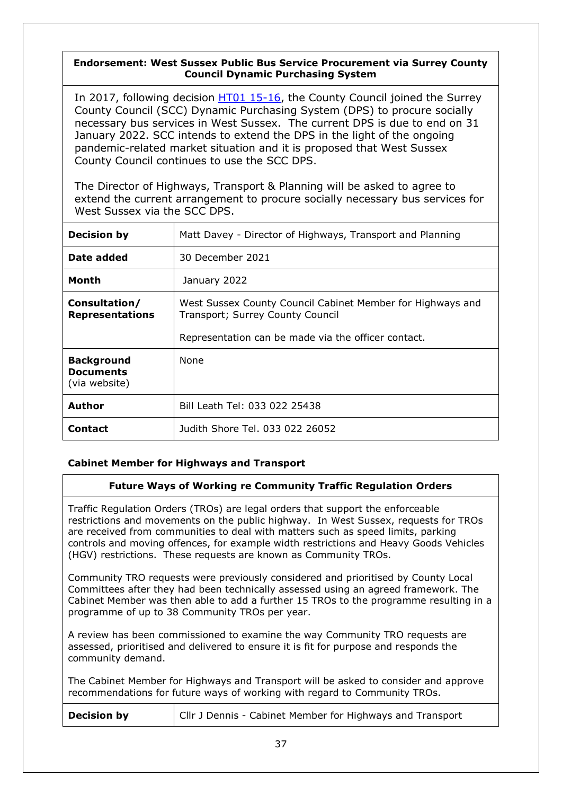# **Endorsement: West Sussex Public Bus Service Procurement via Surrey County Council Dynamic Purchasing System**

<span id="page-36-0"></span>In 2017, following decision [HT01 15-16,](http://www2.westsussex.gov.uk/ds/edd/ht/ht01_15-16record.pdf) the County Council joined the Surrey County Council (SCC) Dynamic Purchasing System (DPS) to procure socially necessary bus services in West Sussex. The current DPS is due to end on 31 January 2022. SCC intends to extend the DPS in the light of the ongoing pandemic-related market situation and it is proposed that West Sussex County Council continues to use the SCC DPS.

The Director of Highways, Transport & Planning will be asked to agree to extend the current arrangement to procure socially necessary bus services for West Sussex via the SCC DPS.

| <b>Decision by</b>                                     | Matt Davey - Director of Highways, Transport and Planning                                                                                             |
|--------------------------------------------------------|-------------------------------------------------------------------------------------------------------------------------------------------------------|
| Date added                                             | 30 December 2021                                                                                                                                      |
| Month                                                  | January 2022                                                                                                                                          |
| Consultation/<br><b>Representations</b>                | West Sussex County Council Cabinet Member for Highways and<br>Transport; Surrey County Council<br>Representation can be made via the officer contact. |
| <b>Background</b><br><b>Documents</b><br>(via website) | <b>None</b>                                                                                                                                           |
| <b>Author</b>                                          | Bill Leath Tel: 033 022 25438                                                                                                                         |
| Contact                                                | Judith Shore Tel. 033 022 26052                                                                                                                       |

## **Cabinet Member for Highways and Transport**

## <span id="page-36-1"></span>**Future Ways of Working re Community Traffic Regulation Orders**

Traffic Regulation Orders (TROs) are legal orders that support the enforceable restrictions and movements on the public highway. In West Sussex, requests for TROs are received from communities to deal with matters such as speed limits, parking controls and moving offences, for example width restrictions and Heavy Goods Vehicles (HGV) restrictions. These requests are known as Community TROs.

Community TRO requests were previously considered and prioritised by County Local Committees after they had been technically assessed using an agreed framework. The Cabinet Member was then able to add a further 15 TROs to the programme resulting in a programme of up to 38 Community TROs per year.

A review has been commissioned to examine the way Community TRO requests are assessed, prioritised and delivered to ensure it is fit for purpose and responds the community demand.

The Cabinet Member for Highways and Transport will be asked to consider and approve recommendations for future ways of working with regard to Community TROs.

| <b>Decision by</b> | Cllr J Dennis - Cabinet Member for Highways and Transport |
|--------------------|-----------------------------------------------------------|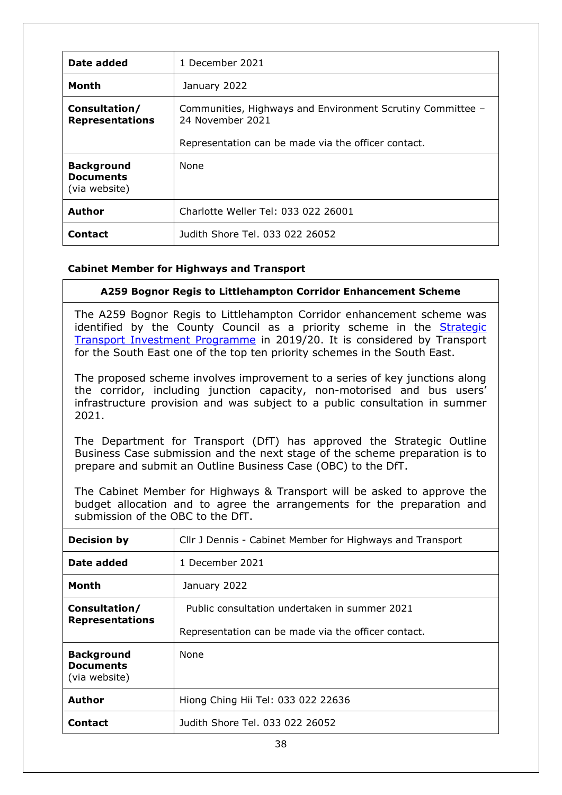| Date added                                             | 1 December 2021                                                                |
|--------------------------------------------------------|--------------------------------------------------------------------------------|
| <b>Month</b>                                           | January 2022                                                                   |
| Consultation/<br><b>Representations</b>                | Communities, Highways and Environment Scrutiny Committee -<br>24 November 2021 |
|                                                        | Representation can be made via the officer contact.                            |
| <b>Background</b><br><b>Documents</b><br>(via website) | <b>None</b>                                                                    |
| <b>Author</b>                                          | Charlotte Weller Tel: 033 022 26001                                            |
| <b>Contact</b>                                         | Judith Shore Tel. 033 022 26052                                                |

# **Cabinet Member for Highways and Transport**

<span id="page-37-0"></span>

| A259 Bognor Regis to Littlehampton Corridor Enhancement Scheme            |
|---------------------------------------------------------------------------|
| The A259 Bognor Regis to Littlehampton Corridor enhancement scheme was    |
| identified by the County Council as a priority scheme in the Strategic    |
| Transport Investment Programme in 2019/20. It is considered by Transport  |
| for the South East one of the top ten priority schemes in the South East. |

The proposed scheme involves improvement to a series of key junctions along the corridor, including junction capacity, non-motorised and bus users' infrastructure provision and was subject to a public consultation in summer 2021.

The Department for Transport (DfT) has approved the Strategic Outline Business Case submission and the next stage of the scheme preparation is to prepare and submit an Outline Business Case (OBC) to the DfT.

The Cabinet Member for Highways & Transport will be asked to approve the budget allocation and to agree the arrangements for the preparation and submission of the OBC to the DfT.

| <b>Decision by</b>                                     | Cllr J Dennis - Cabinet Member for Highways and Transport |
|--------------------------------------------------------|-----------------------------------------------------------|
| Date added                                             | 1 December 2021                                           |
| Month                                                  | January 2022                                              |
| Consultation/<br><b>Representations</b>                | Public consultation undertaken in summer 2021             |
|                                                        | Representation can be made via the officer contact.       |
| <b>Background</b><br><b>Documents</b><br>(via website) | <b>None</b>                                               |
| <b>Author</b>                                          | Hiong Ching Hii Tel: 033 022 22636                        |
| Contact                                                | Judith Shore Tel. 033 022 26052                           |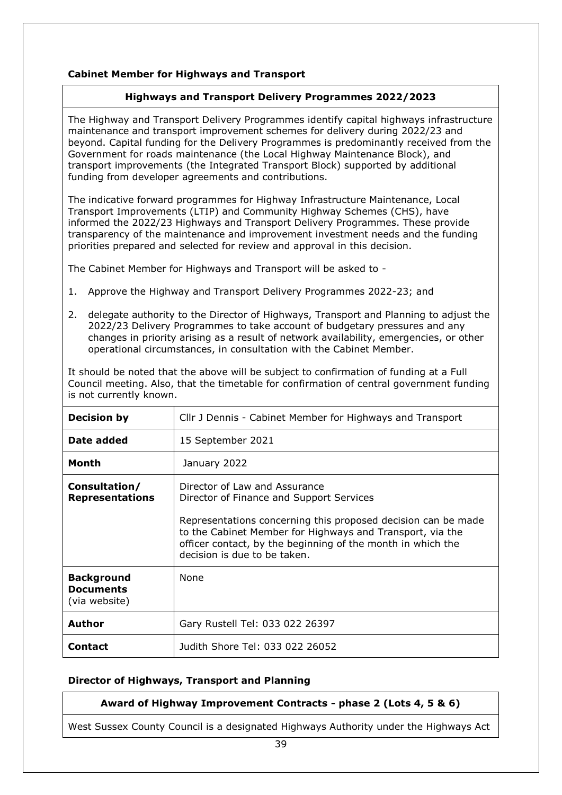# **Cabinet Member for Highways and Transport**

# <span id="page-38-0"></span>**Highways and Transport Delivery Programmes 2022/2023**

The Highway and Transport Delivery Programmes identify capital highways infrastructure maintenance and transport improvement schemes for delivery during 2022/23 and beyond. Capital funding for the Delivery Programmes is predominantly received from the Government for roads maintenance (the Local Highway Maintenance Block), and transport improvements (the Integrated Transport Block) supported by additional funding from developer agreements and contributions.

The indicative forward programmes for Highway Infrastructure Maintenance, Local Transport Improvements (LTIP) and Community Highway Schemes (CHS), have informed the 2022/23 Highways and Transport Delivery Programmes. These provide transparency of the maintenance and improvement investment needs and the funding priorities prepared and selected for review and approval in this decision.

The Cabinet Member for Highways and Transport will be asked to -

- 1. Approve the Highway and Transport Delivery Programmes 2022-23; and
- 2. delegate authority to the Director of Highways, Transport and Planning to adjust the 2022/23 Delivery Programmes to take account of budgetary pressures and any changes in priority arising as a result of network availability, emergencies, or other operational circumstances, in consultation with the Cabinet Member.

It should be noted that the above will be subject to confirmation of funding at a Full Council meeting. Also, that the timetable for confirmation of central government funding is not currently known.

| <b>Decision by</b>                                     | Cllr J Dennis - Cabinet Member for Highways and Transport                                                                                                                                                                                                                                              |
|--------------------------------------------------------|--------------------------------------------------------------------------------------------------------------------------------------------------------------------------------------------------------------------------------------------------------------------------------------------------------|
| Date added                                             | 15 September 2021                                                                                                                                                                                                                                                                                      |
| Month                                                  | January 2022                                                                                                                                                                                                                                                                                           |
| Consultation/<br><b>Representations</b>                | Director of Law and Assurance<br>Director of Finance and Support Services<br>Representations concerning this proposed decision can be made<br>to the Cabinet Member for Highways and Transport, via the<br>officer contact, by the beginning of the month in which the<br>decision is due to be taken. |
| <b>Background</b><br><b>Documents</b><br>(via website) | None                                                                                                                                                                                                                                                                                                   |
| <b>Author</b>                                          | Gary Rustell Tel: 033 022 26397                                                                                                                                                                                                                                                                        |
| <b>Contact</b>                                         | Judith Shore Tel: 033 022 26052                                                                                                                                                                                                                                                                        |

# **Director of Highways, Transport and Planning**

## <span id="page-38-1"></span>**Award of Highway Improvement Contracts - phase 2 (Lots 4, 5 & 6)**

West Sussex County Council is a designated Highways Authority under the Highways Act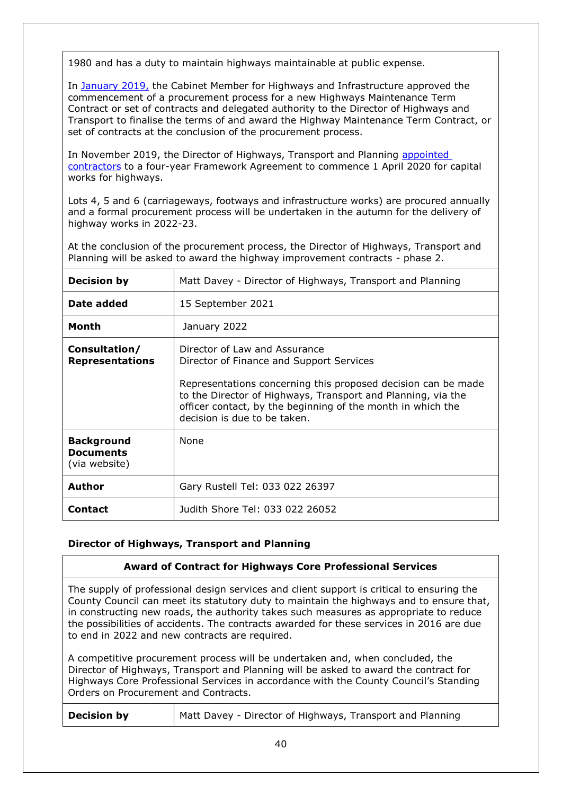1980 and has a duty to maintain highways maintainable at public expense.

In [January 2019,](https://westsussex.moderngov.co.uk/mgIssueHistoryHome.aspx?IId=13206&PlanId=340&RPID=2848675) the Cabinet Member for Highways and Infrastructure approved the commencement of a procurement process for a new Highways Maintenance Term Contract or set of contracts and delegated authority to the Director of Highways and Transport to finalise the terms of and award the Highway Maintenance Term Contract, or set of contracts at the conclusion of the procurement process.

In November 2019, the Director of Highways, Transport and Planning appointed [contractors](https://westsussex.moderngov.co.uk/ieDecisionDetails.aspx?ID=766) to a four-year Framework Agreement to commence 1 April 2020 for capital works for highways.

Lots 4, 5 and 6 (carriageways, footways and infrastructure works) are procured annually and a formal procurement process will be undertaken in the autumn for the delivery of highway works in 2022-23.

At the conclusion of the procurement process, the Director of Highways, Transport and Planning will be asked to award the highway improvement contracts - phase 2.

| <b>Decision by</b>                                     | Matt Davey - Director of Highways, Transport and Planning                                                                                                                                                                                                                                                 |
|--------------------------------------------------------|-----------------------------------------------------------------------------------------------------------------------------------------------------------------------------------------------------------------------------------------------------------------------------------------------------------|
| Date added                                             | 15 September 2021                                                                                                                                                                                                                                                                                         |
| <b>Month</b>                                           | January 2022                                                                                                                                                                                                                                                                                              |
| Consultation/<br><b>Representations</b>                | Director of Law and Assurance<br>Director of Finance and Support Services<br>Representations concerning this proposed decision can be made<br>to the Director of Highways, Transport and Planning, via the<br>officer contact, by the beginning of the month in which the<br>decision is due to be taken. |
| <b>Background</b><br><b>Documents</b><br>(via website) | None                                                                                                                                                                                                                                                                                                      |
| <b>Author</b>                                          | Gary Rustell Tel: 033 022 26397                                                                                                                                                                                                                                                                           |
| <b>Contact</b>                                         | Judith Shore Tel: 033 022 26052                                                                                                                                                                                                                                                                           |

## <span id="page-39-0"></span>**Director of Highways, Transport and Planning**

| <b>Award of Contract for Highways Core Professional Services</b>                                                                                                                                                                                                                                                                                                                                                            |  |
|-----------------------------------------------------------------------------------------------------------------------------------------------------------------------------------------------------------------------------------------------------------------------------------------------------------------------------------------------------------------------------------------------------------------------------|--|
| The supply of professional design services and client support is critical to ensuring the<br>County Council can meet its statutory duty to maintain the highways and to ensure that,<br>in constructing new roads, the authority takes such measures as appropriate to reduce<br>the possibilities of accidents. The contracts awarded for these services in 2016 are due<br>to end in 2022 and new contracts are required. |  |
| A competitive procurement process will be undertaken and, when concluded, the<br>Director of Highways, Transport and Planning will be asked to award the contract for<br>Highways Core Professional Services in accordance with the County Council's Standing<br>Orders on Procurement and Contracts.                                                                                                                       |  |
|                                                                                                                                                                                                                                                                                                                                                                                                                             |  |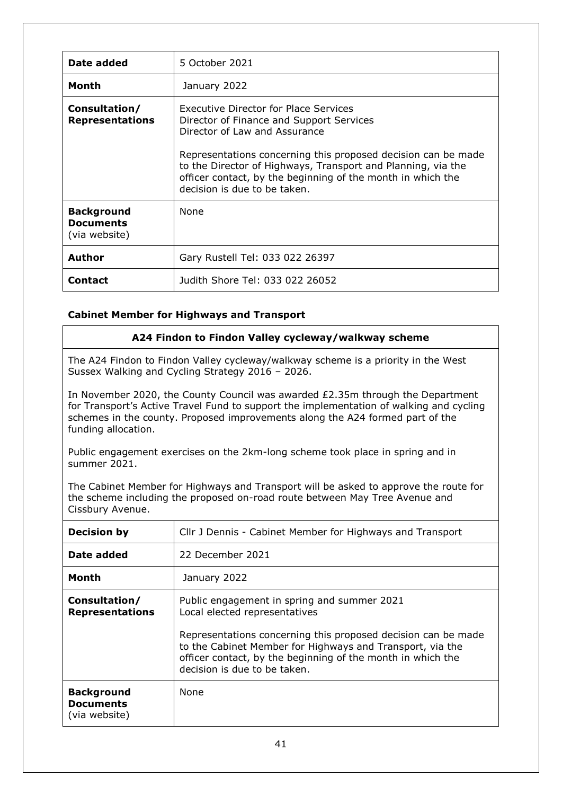| Date added                                             | 5 October 2021                                                                                                                                                                                                                                                                                                                                            |
|--------------------------------------------------------|-----------------------------------------------------------------------------------------------------------------------------------------------------------------------------------------------------------------------------------------------------------------------------------------------------------------------------------------------------------|
| Month                                                  | January 2022                                                                                                                                                                                                                                                                                                                                              |
| Consultation/<br><b>Representations</b>                | <b>Executive Director for Place Services</b><br>Director of Finance and Support Services<br>Director of Law and Assurance<br>Representations concerning this proposed decision can be made<br>to the Director of Highways, Transport and Planning, via the<br>officer contact, by the beginning of the month in which the<br>decision is due to be taken. |
| <b>Background</b><br><b>Documents</b><br>(via website) | <b>None</b>                                                                                                                                                                                                                                                                                                                                               |
| <b>Author</b>                                          | Gary Rustell Tel: 033 022 26397                                                                                                                                                                                                                                                                                                                           |
| <b>Contact</b>                                         | Judith Shore Tel: 033 022 26052                                                                                                                                                                                                                                                                                                                           |

## **Cabinet Member for Highways and Transport**

## <span id="page-40-0"></span>**A24 Findon to Findon Valley cycleway/walkway scheme**

The A24 Findon to Findon Valley cycleway/walkway scheme is a priority in the West Sussex Walking and Cycling Strategy 2016 – 2026.

In November 2020, the County Council was awarded £2.35m through the Department for Transport's Active Travel Fund to support the implementation of walking and cycling schemes in the county. Proposed improvements along the A24 formed part of the funding allocation.

Public engagement exercises on the 2km-long scheme took place in spring and in summer 2021.

The Cabinet Member for Highways and Transport will be asked to approve the route for the scheme including the proposed on-road route between May Tree Avenue and Cissbury Avenue.

| <b>Decision by</b>                                     | Cllr J Dennis - Cabinet Member for Highways and Transport                                                                                                                                                  |
|--------------------------------------------------------|------------------------------------------------------------------------------------------------------------------------------------------------------------------------------------------------------------|
| Date added                                             | 22 December 2021                                                                                                                                                                                           |
| Month                                                  | January 2022                                                                                                                                                                                               |
| Consultation/<br><b>Representations</b>                | Public engagement in spring and summer 2021<br>Local elected representatives<br>Representations concerning this proposed decision can be made<br>to the Cabinet Member for Highways and Transport, via the |
|                                                        | officer contact, by the beginning of the month in which the<br>decision is due to be taken.                                                                                                                |
| <b>Background</b><br><b>Documents</b><br>(via website) | <b>None</b>                                                                                                                                                                                                |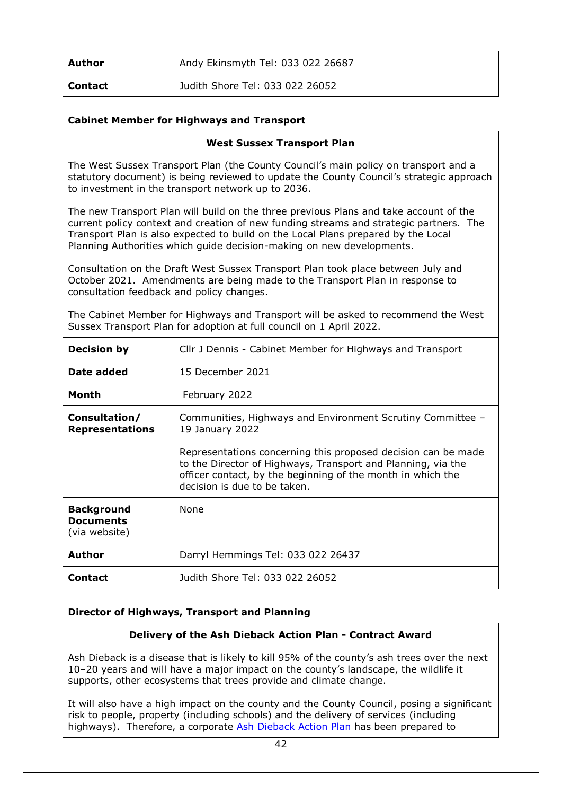| Author         | Andy Ekinsmyth Tel: 033 022 26687 |
|----------------|-----------------------------------|
| <b>Contact</b> | Judith Shore Tel: 033 022 26052   |

## **Cabinet Member for Highways and Transport**

<span id="page-41-0"></span>

| <b>West Sussex Transport Plan</b>                                                                                                                                                                                                                                                                                                             |                                                           |
|-----------------------------------------------------------------------------------------------------------------------------------------------------------------------------------------------------------------------------------------------------------------------------------------------------------------------------------------------|-----------------------------------------------------------|
| The West Sussex Transport Plan (the County Council's main policy on transport and a<br>statutory document) is being reviewed to update the County Council's strategic approach<br>to investment in the transport network up to 2036.                                                                                                          |                                                           |
| The new Transport Plan will build on the three previous Plans and take account of the<br>current policy context and creation of new funding streams and strategic partners. The<br>Transport Plan is also expected to build on the Local Plans prepared by the Local<br>Planning Authorities which guide decision-making on new developments. |                                                           |
| Consultation on the Draft West Sussex Transport Plan took place between July and<br>October 2021. Amendments are being made to the Transport Plan in response to<br>consultation feedback and policy changes.                                                                                                                                 |                                                           |
| The Cabinet Member for Highways and Transport will be asked to recommend the West<br>Sussex Transport Plan for adoption at full council on 1 April 2022.                                                                                                                                                                                      |                                                           |
| <b>Decision by</b>                                                                                                                                                                                                                                                                                                                            | Cllr J Dennis - Cabinet Member for Highways and Transport |
|                                                                                                                                                                                                                                                                                                                                               |                                                           |

| <b>Decision by</b>                                     | Cllr J Dennis - Cabinet Member for Highways and Transport                                                                                                                                                                    |  |  |
|--------------------------------------------------------|------------------------------------------------------------------------------------------------------------------------------------------------------------------------------------------------------------------------------|--|--|
| Date added                                             | 15 December 2021                                                                                                                                                                                                             |  |  |
| Month                                                  | February 2022                                                                                                                                                                                                                |  |  |
| Consultation/<br><b>Representations</b>                | Communities, Highways and Environment Scrutiny Committee -<br>19 January 2022                                                                                                                                                |  |  |
|                                                        | Representations concerning this proposed decision can be made<br>to the Director of Highways, Transport and Planning, via the<br>officer contact, by the beginning of the month in which the<br>decision is due to be taken. |  |  |
| <b>Background</b><br><b>Documents</b><br>(via website) | None                                                                                                                                                                                                                         |  |  |
| <b>Author</b>                                          | Darryl Hemmings Tel: 033 022 26437                                                                                                                                                                                           |  |  |
| <b>Contact</b>                                         | Judith Shore Tel: 033 022 26052                                                                                                                                                                                              |  |  |

## **Director of Highways, Transport and Planning**

## <span id="page-41-1"></span>**Delivery of the Ash Dieback Action Plan - Contract Award**

Ash Dieback is a disease that is likely to kill 95% of the county's ash trees over the next 10–20 years and will have a major impact on the county's landscape, the wildlife it supports, other ecosystems that trees provide and climate change.

It will also have a high impact on the county and the County Council, posing a significant risk to people, property (including schools) and the delivery of services (including highways). Therefore, a corporate [Ash Dieback Action Plan](https://www.westsussex.gov.uk/land-waste-and-housing/public-paths-and-the-countryside/ash-dieback/) has been prepared to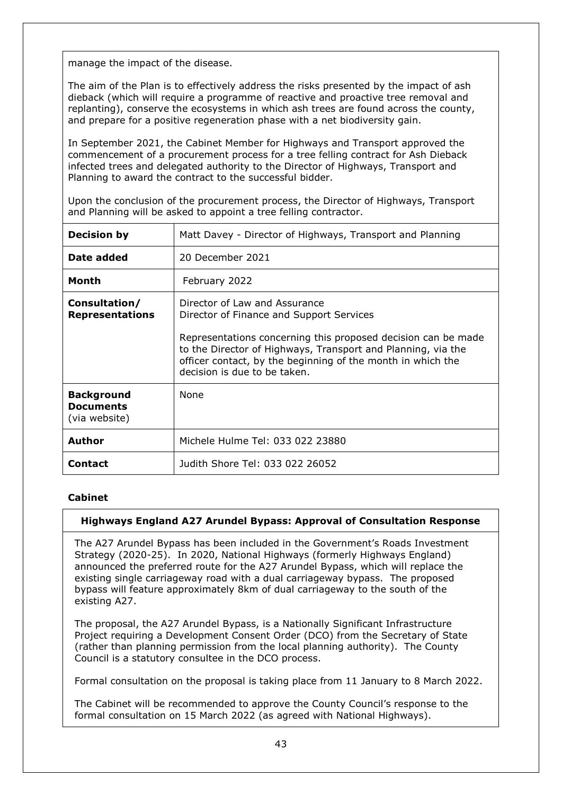manage the impact of the disease.

The aim of the Plan is to effectively address the risks presented by the impact of ash dieback (which will require a programme of reactive and proactive tree removal and replanting), conserve the ecosystems in which ash trees are found across the county, and prepare for a positive regeneration phase with a net biodiversity gain.

In September 2021, the Cabinet Member for Highways and Transport approved the commencement of a procurement process for a tree felling contract for Ash Dieback infected trees and delegated authority to the Director of Highways, Transport and Planning to award the contract to the successful bidder.

Upon the conclusion of the procurement process, the Director of Highways, Transport and Planning will be asked to appoint a tree felling contractor.

| <b>Decision by</b>                                     | Matt Davey - Director of Highways, Transport and Planning                                                                                                                                                                                                                                                 |  |  |
|--------------------------------------------------------|-----------------------------------------------------------------------------------------------------------------------------------------------------------------------------------------------------------------------------------------------------------------------------------------------------------|--|--|
| Date added                                             | 20 December 2021                                                                                                                                                                                                                                                                                          |  |  |
| Month                                                  | February 2022                                                                                                                                                                                                                                                                                             |  |  |
| Consultation/<br><b>Representations</b>                | Director of Law and Assurance<br>Director of Finance and Support Services<br>Representations concerning this proposed decision can be made<br>to the Director of Highways, Transport and Planning, via the<br>officer contact, by the beginning of the month in which the<br>decision is due to be taken. |  |  |
| <b>Background</b><br><b>Documents</b><br>(via website) | None                                                                                                                                                                                                                                                                                                      |  |  |
| Author                                                 | Michele Hulme Tel: 033 022 23880                                                                                                                                                                                                                                                                          |  |  |
| <b>Contact</b>                                         | Judith Shore Tel: 033 022 26052                                                                                                                                                                                                                                                                           |  |  |

## **Cabinet**

## <span id="page-42-0"></span>**Highways England A27 Arundel Bypass: Approval of Consultation Response**

The A27 Arundel Bypass has been included in the Government's Roads Investment Strategy (2020-25). In 2020, National Highways (formerly Highways England) announced the preferred route for the A27 Arundel Bypass, which will replace the existing single carriageway road with a dual carriageway bypass. The proposed bypass will feature approximately 8km of dual carriageway to the south of the existing A27.

The proposal, the A27 Arundel Bypass, is a Nationally Significant Infrastructure Project requiring a Development Consent Order (DCO) from the Secretary of State (rather than planning permission from the local planning authority). The County Council is a statutory consultee in the DCO process.

Formal consultation on the proposal is taking place from 11 January to 8 March 2022.

The Cabinet will be recommended to approve the County Council's response to the formal consultation on 15 March 2022 (as agreed with National Highways).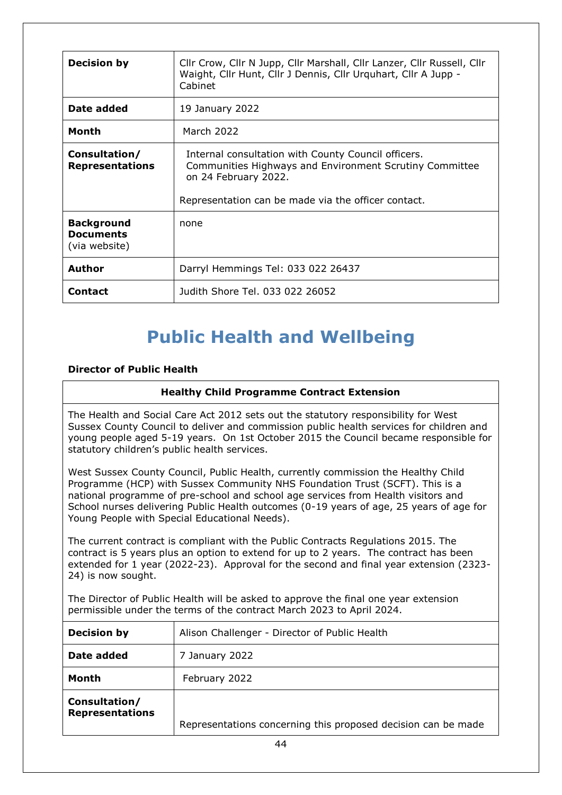| <b>Decision by</b>                                     | Cllr Crow, Cllr N Jupp, Cllr Marshall, Cllr Lanzer, Cllr Russell, Cllr<br>Waight, Cllr Hunt, Cllr J Dennis, Cllr Urquhart, Cllr A Jupp -<br>Cabinet                                           |  |  |
|--------------------------------------------------------|-----------------------------------------------------------------------------------------------------------------------------------------------------------------------------------------------|--|--|
| Date added                                             | 19 January 2022                                                                                                                                                                               |  |  |
| Month                                                  | March 2022                                                                                                                                                                                    |  |  |
| Consultation/<br><b>Representations</b>                | Internal consultation with County Council officers.<br>Communities Highways and Environment Scrutiny Committee<br>on 24 February 2022.<br>Representation can be made via the officer contact. |  |  |
| <b>Background</b><br><b>Documents</b><br>(via website) | none                                                                                                                                                                                          |  |  |
| <b>Author</b>                                          | Darryl Hemmings Tel: 033 022 26437                                                                                                                                                            |  |  |
| <b>Contact</b>                                         | Judith Shore Tel. 033 022 26052                                                                                                                                                               |  |  |

# **Public Health and Wellbeing**

# **Director of Public Health**

### <span id="page-43-0"></span>**Healthy Child Programme Contract Extension**

The Health and Social Care Act 2012 sets out the statutory responsibility for West Sussex County Council to deliver and commission public health services for children and young people aged 5-19 years. On 1st October 2015 the Council became responsible for statutory children's public health services.

West Sussex County Council, Public Health, currently commission the Healthy Child Programme (HCP) with Sussex Community NHS Foundation Trust (SCFT). This is a national programme of pre-school and school age services from Health visitors and School nurses delivering Public Health outcomes (0-19 years of age, 25 years of age for Young People with Special Educational Needs).

The current contract is compliant with the Public Contracts Regulations 2015. The contract is 5 years plus an option to extend for up to 2 years. The contract has been extended for 1 year (2022-23). Approval for the second and final year extension (2323- 24) is now sought.

The Director of Public Health will be asked to approve the final one year extension permissible under the terms of the contract March 2023 to April 2024.

| <b>Decision by</b>                      | Alison Challenger - Director of Public Health                 |  |  |
|-----------------------------------------|---------------------------------------------------------------|--|--|
| Date added                              | 7 January 2022                                                |  |  |
| Month                                   | February 2022                                                 |  |  |
| Consultation/<br><b>Representations</b> | Representations concerning this proposed decision can be made |  |  |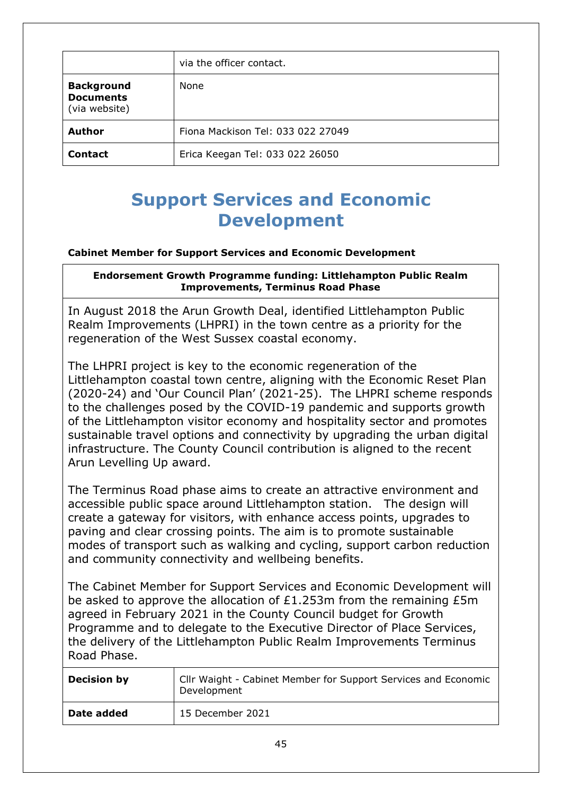|                                                        | via the officer contact.          |
|--------------------------------------------------------|-----------------------------------|
| <b>Background</b><br><b>Documents</b><br>(via website) | None                              |
| <b>Author</b>                                          | Fiona Mackison Tel: 033 022 27049 |
| <b>Contact</b>                                         | Erica Keegan Tel: 033 022 26050   |

# <span id="page-44-0"></span>**Support Services and Economic Development**

# **Cabinet Member for Support Services and Economic Development**

## **Endorsement Growth Programme funding: Littlehampton Public Realm Improvements, Terminus Road Phase**

In August 2018 the Arun Growth Deal, identified Littlehampton Public Realm Improvements (LHPRI) in the town centre as a priority for the regeneration of the West Sussex coastal economy.

The LHPRI project is key to the economic regeneration of the Littlehampton coastal town centre, aligning with the Economic Reset Plan (2020-24) and 'Our Council Plan' (2021-25). The LHPRI scheme responds to the challenges posed by the COVID-19 pandemic and supports growth of the Littlehampton visitor economy and hospitality sector and promotes sustainable travel options and connectivity by upgrading the urban digital infrastructure. The County Council contribution is aligned to the recent Arun Levelling Up award.

The Terminus Road phase aims to create an attractive environment and accessible public space around Littlehampton station. The design will create a gateway for visitors, with enhance access points, upgrades to paving and clear crossing points. The aim is to promote sustainable modes of transport such as walking and cycling, support carbon reduction and community connectivity and wellbeing benefits.

The Cabinet Member for Support Services and Economic Development will be asked to approve the allocation of £1.253m from the remaining £5m agreed in February 2021 in the County Council budget for Growth Programme and to delegate to the Executive Director of Place Services, the delivery of the Littlehampton Public Realm Improvements Terminus Road Phase.

| <b>Decision by</b> | Cllr Waight - Cabinet Member for Support Services and Economic<br>Development |
|--------------------|-------------------------------------------------------------------------------|
| Date added         | 15 December 2021                                                              |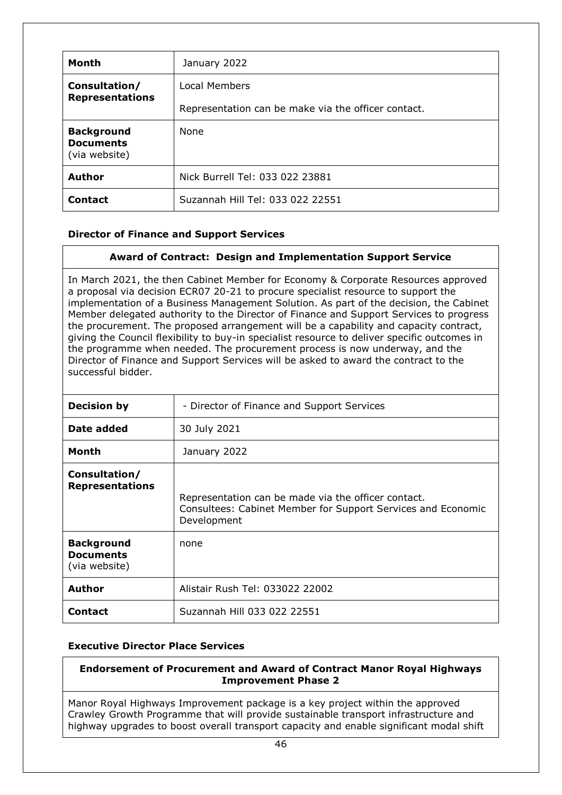| <b>Month</b>                                           | January 2022                                        |
|--------------------------------------------------------|-----------------------------------------------------|
| Consultation/<br><b>Representations</b>                | Local Members                                       |
|                                                        | Representation can be make via the officer contact. |
| <b>Background</b><br><b>Documents</b><br>(via website) | <b>None</b>                                         |
| <b>Author</b>                                          | Nick Burrell Tel: 033 022 23881                     |
| <b>Contact</b>                                         | Suzannah Hill Tel: 033 022 22551                    |

# **Director of Finance and Support Services**

# <span id="page-45-0"></span>**Award of Contract: Design and Implementation Support Service**

In March 2021, the then Cabinet Member for Economy & Corporate Resources approved a proposal via decision ECR07 20-21 to procure specialist resource to support the implementation of a Business Management Solution. As part of the decision, the Cabinet Member delegated authority to the Director of Finance and Support Services to progress the procurement. The proposed arrangement will be a capability and capacity contract, giving the Council flexibility to buy-in specialist resource to deliver specific outcomes in the programme when needed. The procurement process is now underway, and the Director of Finance and Support Services will be asked to award the contract to the successful bidder.

| <b>Decision by</b>                                     | - Director of Finance and Support Services                                                                                         |  |  |
|--------------------------------------------------------|------------------------------------------------------------------------------------------------------------------------------------|--|--|
| Date added                                             | 30 July 2021                                                                                                                       |  |  |
| <b>Month</b>                                           | January 2022                                                                                                                       |  |  |
| Consultation/<br><b>Representations</b>                | Representation can be made via the officer contact.<br>Consultees: Cabinet Member for Support Services and Economic<br>Development |  |  |
| <b>Background</b><br><b>Documents</b><br>(via website) | none                                                                                                                               |  |  |
| Author                                                 | Alistair Rush Tel: 033022 22002                                                                                                    |  |  |
| <b>Contact</b>                                         | Suzannah Hill 033 022 22551                                                                                                        |  |  |

## **Executive Director Place Services**

#### <span id="page-45-1"></span>**Endorsement of Procurement and Award of Contract Manor Royal Highways Improvement Phase 2**

Manor Royal Highways Improvement package is a key project within the approved Crawley Growth Programme that will provide sustainable transport infrastructure and highway upgrades to boost overall transport capacity and enable significant modal shift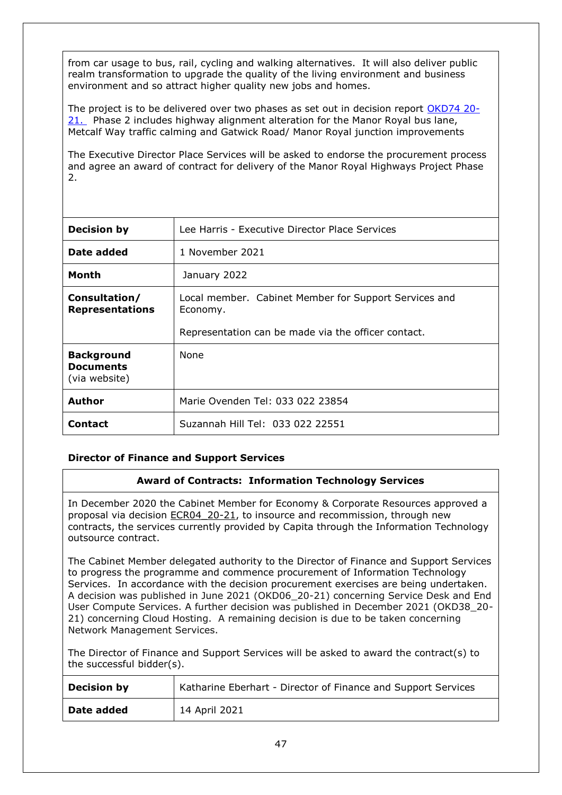from car usage to bus, rail, cycling and walking alternatives. It will also deliver public realm transformation to upgrade the quality of the living environment and business environment and so attract higher quality new jobs and homes.

The project is to be delivered over two phases as set out in decision report [OKD74 20-](https://westsussex.moderngov.co.uk/documents/s24022/Award%20of%20Contract%20Manor%20Royal%20Report.pdf) [21.](https://westsussex.moderngov.co.uk/documents/s24022/Award%20of%20Contract%20Manor%20Royal%20Report.pdf) Phase 2 includes highway alignment alteration for the Manor Royal bus lane, Metcalf Way traffic calming and Gatwick Road/ Manor Royal junction improvements

The Executive Director Place Services will be asked to endorse the procurement process and agree an award of contract for delivery of the Manor Royal Highways Project Phase 2.

| <b>Decision by</b>                                     | Lee Harris - Executive Director Place Services                    |  |  |  |
|--------------------------------------------------------|-------------------------------------------------------------------|--|--|--|
| Date added                                             | 1 November 2021                                                   |  |  |  |
| Month                                                  | January 2022                                                      |  |  |  |
| Consultation/<br><b>Representations</b>                | Local member. Cabinet Member for Support Services and<br>Economy. |  |  |  |
|                                                        | Representation can be made via the officer contact.               |  |  |  |
| <b>Background</b><br><b>Documents</b><br>(via website) | <b>None</b>                                                       |  |  |  |
| <b>Author</b>                                          | Marie Ovenden Tel: 033 022 23854                                  |  |  |  |
| <b>Contact</b>                                         | Suzannah Hill Tel: 033 022 22551                                  |  |  |  |

## **Director of Finance and Support Services**

## <span id="page-46-0"></span>**Award of Contracts: Information Technology Services**

In December 2020 the Cabinet Member for Economy & Corporate Resources approved a proposal via decision [ECR04\\_20-21,](https://westsussex.moderngov.co.uk/ieDecisionDetails.aspx?ID=1158) to insource and recommission, through new contracts, the services currently provided by Capita through the Information Technology outsource contract.

The Cabinet Member delegated authority to the Director of Finance and Support Services to progress the programme and commence procurement of Information Technology Services. In accordance with the decision procurement exercises are being undertaken. A decision was published in June 2021 (OKD06\_20-21) concerning Service Desk and End User Compute Services. A further decision was published in December 2021 (OKD38\_20- 21) concerning Cloud Hosting. A remaining decision is due to be taken concerning Network Management Services.

The Director of Finance and Support Services will be asked to award the contract(s) to the successful bidder(s).

| <b>Decision by</b> | Katharine Eberhart - Director of Finance and Support Services |
|--------------------|---------------------------------------------------------------|
| Date added         | 14 April 2021                                                 |